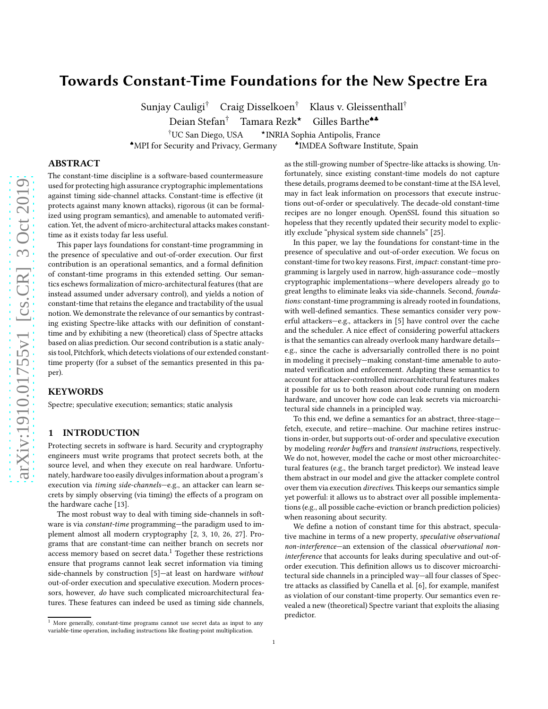# arXiv:1910.01755v1 [cs.CR] 3 Oct 2019 [arXiv:1910.01755v1 \[cs.CR\] 3 Oct 2019](http://arxiv.org/abs/1910.01755v1)

# Towards Constant-Time Foundations for the New Spectre Era

Sunjay Cauligi† Craig Disselkoen† Klaus v. Gleissenthall†

Deian Stefan<sup>†</sup> Tamara Rezk<sup>★</sup> Gilles Barthe<sup>◆▲</sup>

<sup>†</sup>UC San Diego, USA  $\star$ **INRIA Sophia Antipolis, France** IMDEA Software Institute, Spain

♠MPI for Security and Privacy, Germany ♣

# ABSTRACT

The constant-time discipline is a software-based countermeasure used for protecting high assurance cryptographic implementations against timing side-channel attacks. Constant-time is effective (it protects against many known attacks), rigorous (it can be formalized using program semantics), and amenable to automated verification. Yet, the advent of micro-architectural attacks makes constanttime as it exists today far less useful.

This paper lays foundations for constant-time programming in the presence of speculative and out-of-order execution. Our first contribution is an operational semantics, and a formal definition of constant-time programs in this extended setting. Our semantics eschews formalization of micro-architectural features (that are instead assumed under adversary control), and yields a notion of constant-time that retains the elegance and tractability of the usual notion. We demonstrate the relevance of our semantics by contrasting existing Spectre-like attacks with our definition of constanttime and by exhibiting a new (theoretical) class of Spectre attacks based on alias prediction. Our second contribution is a static analysis tool, Pitchfork, which detects violations of our extended constanttime property (for a subset of the semantics presented in this paper).

# **KEYWORDS**

Spectre; speculative execution; semantics; static analysis

# 1 INTRODUCTION

Protecting secrets in software is hard. Security and cryptography engineers must write programs that protect secrets both, at the source level, and when they execute on real hardware. Unfortunately, hardware too easily divulges information about a program's execution via timing side-channels—e.g., an attacker can learn secrets by simply observing (via timing) the effects of a program on the hardware cache [\[13](#page-12-0)].

The most robust way to deal with timing side-channels in software is via constant-time programming—the paradigm used to implement almost all modern cryptography [\[2](#page-12-1), [3,](#page-12-2) [10,](#page-12-3) [26](#page-12-4), [27](#page-12-5)]. Programs that are constant-time can neither branch on secrets nor access memory based on secret data. $1$  Together these restrictions ensure that programs cannot leak secret information via timing side-channels by construction [\[5\]](#page-12-6)—at least on hardware without out-of-order execution and speculative execution. Modern processors, however, do have such complicated microarchitectural features. These features can indeed be used as timing side channels,

as the still-growing number of Spectre-like attacks is showing. Unfortunately, since existing constant-time models do not capture these details, programs deemed to be constant-time at the ISA level, may in fact leak information on processors that execute instructions out-of-order or speculatively. The decade-old constant-time recipes are no longer enough. OpenSSL found this situation so hopeless that they recently updated their security model to explicitly exclude "physical system side channels" [\[25\]](#page-12-7).

In this paper, we lay the foundations for constant-time in the presence of speculative and out-of-order execution. We focus on constant-time for two key reasons. First, impact: constant-time programming is largely used in narrow, high-assurance code—mostly cryptographic implementations—where developers already go to great lengths to eliminate leaks via side-channels. Second, foundations: constant-time programming is already rooted in foundations, with well-defined semantics. These semantics consider very powerful attackers—e.g., attackers in [\[5\]](#page-12-6) have control over the cache and the scheduler. A nice effect of considering powerful attackers is that the semantics can already overlook many hardware details e.g., since the cache is adversarially controlled there is no point in modeling it precisely—making constant-time amenable to automated verification and enforcement. Adapting these semantics to account for attacker-controlled microarchitectural features makes it possible for us to both reason about code running on modern hardware, and uncover how code can leak secrets via microarchitectural side channels in a principled way.

To this end, we define a semantics for an abstract, three-stage fetch, execute, and retire—machine. Our machine retires instructions in-order, but supports out-of-order and speculative execution by modeling reorder buffers and transient instructions, respectively. We do not, however, model the cache or most other microarchitectural features (e.g., the branch target predictor). We instead leave them abstract in our model and give the attacker complete control over them via execution directives. This keeps our semantics simple yet powerful: it allows us to abstract over all possible implementations (e.g., all possible cache-eviction or branch prediction policies) when reasoning about security.

We define a notion of constant time for this abstract, speculative machine in terms of a new property, speculative observational non-interference—an extension of the classical observational noninterference that accounts for leaks during speculative and out-oforder execution. This definition allows us to discover microarchitectural side channels in a principled way—all four classes of Spectre attacks as classified by Canella et al. [\[6\]](#page-12-8), for example, manifest as violation of our constant-time property. Our semantics even revealed a new (theoretical) Spectre variant that exploits the aliasing predictor.

<span id="page-0-0"></span><sup>1</sup> More generally, constant-time programs cannot use secret data as input to any variable-time operation, including instructions like floating-point multiplication.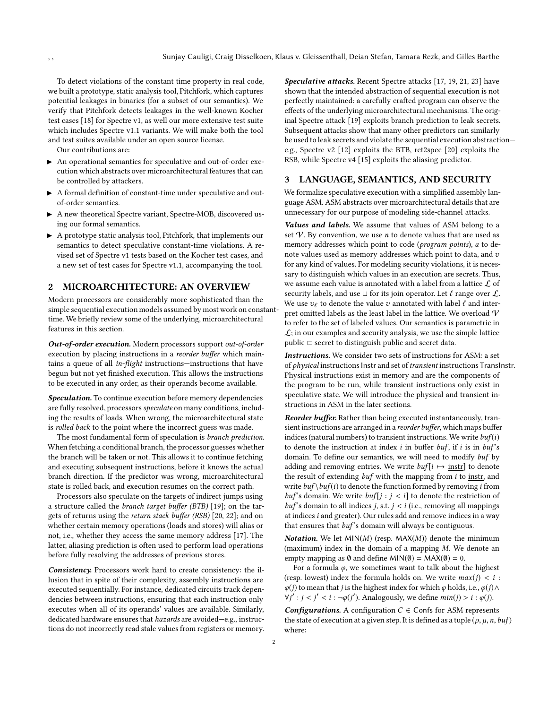To detect violations of the constant time property in real code, we built a prototype, static analysis tool, Pitchfork, which captures potential leakages in binaries (for a subset of our semantics). We verify that Pitchfork detects leakages in the well-known Kocher test cases [\[18\]](#page-12-9) for Spectre v1, as well our more extensive test suite which includes Spectre v1.1 variants. We will make both the tool and test suites available under an open source license.

Our contributions are:

- ▶ An operational semantics for speculative and out-of-order execution which abstracts over microarchitectural features that can be controlled by attackers.
- $\blacktriangleright\;$  A formal definition of constant-time under speculative and outof-order semantics.
- ▶ A new theoretical Spectre variant, Spectre-MOB, discovered using our formal semantics.
- ▶ A prototype static analysis tool, Pitchfork, that implements our semantics to detect speculative constant-time violations. A revised set of Spectre v1 tests based on the Kocher test cases, and a new set of test cases for Spectre v1.1, accompanying the tool.

## 2 MICROARCHITECTURE: AN OVERVIEW

Modern processors are considerably more sophisticated than the simple sequential execution models assumed by most work on constanttime. We briefly review some of the underlying, microarchitectural features in this section.

Out-of-order execution. Modern processors support out-of-order execution by placing instructions in a reorder buffer which maintains a queue of all in-flight instructions—instructions that have begun but not yet finished execution. This allows the instructions to be executed in any order, as their operands become available.

Speculation. To continue execution before memory dependencies are fully resolved, processors speculate on many conditions, including the results of loads. When wrong, the microarchitectural state is rolled back to the point where the incorrect guess was made.

The most fundamental form of speculation is branch prediction. When fetching a conditional branch, the processor guesses whether the branch will be taken or not. This allows it to continue fetching and executing subsequent instructions, before it knows the actual branch direction. If the predictor was wrong, microarchitectural state is rolled back, and execution resumes on the correct path.

Processors also speculate on the targets of indirect jumps using a structure called the branch target buffer (BTB) [\[19\]](#page-12-10); on the targets of returns using the return stack buffer (RSB) [\[20](#page-12-11), [22](#page-12-12)]; and on whether certain memory operations (loads and stores) will alias or not, i.e., whether they access the same memory address [\[17](#page-12-13)]. The latter, aliasing prediction is often used to perform load operations before fully resolving the addresses of previous stores.

Consistency. Processors work hard to create consistency: the illusion that in spite of their complexity, assembly instructions are executed sequentially. For instance, dedicated circuits track dependencies between instructions, ensuring that each instruction only executes when all of its operands' values are available. Similarly, dedicated hardware ensures that hazards are avoided—e.g., instructions do not incorrectly read stale values from registers or memory. Speculative attacks. Recent Spectre attacks [\[17](#page-12-13), [19](#page-12-10), [21](#page-12-14), [23](#page-12-15)] have shown that the intended abstraction of sequential execution is not perfectly maintained: a carefully crafted program can observe the effects of the underlying microarchitectural mechanisms. The original Spectre attack [\[19](#page-12-10)] exploits branch prediction to leak secrets. Subsequent attacks show that many other predictors can similarly be used to leak secrets and violate the sequential execution abstraction e.g., Spectre v2 [\[12](#page-12-16)] exploits the BTB, ret2spec [\[20](#page-12-11)] exploits the RSB, while Spectre v4 [\[15](#page-12-17)] exploits the aliasing predictor.

#### 3 LANGUAGE, SEMANTICS, AND SECURITY

We formalize speculative execution with a simplified assembly language ASM. ASM abstracts over microarchitectural details that are unnecessary for our purpose of modeling side-channel attacks.

Values and labels. We assume that values of ASM belong to a set  $V$ . By convention, we use *n* to denote values that are used as memory addresses which point to code (program points), a to denote values used as memory addresses which point to data, and  $v$ for any kind of values. For modeling security violations, it is necessary to distinguish which values in an execution are secrets. Thus, we assume each value is annotated with a label from a lattice  $\mathcal L$  of security labels, and use  $\sqcup$  for its join operator. Let  $\ell$  range over  $\mathcal{L}$ . We use  $v_\ell$  to denote the value  $v$  annotated with label  $\ell$  and interpret omitted labels as the least label in the lattice. We overload  $\boldsymbol{\mathcal{V}}$ to refer to the set of labeled values. Our semantics is parametric in  $\mathcal{L}$ ; in our examples and security analysis, we use the simple lattice public ⊏ secret to distinguish public and secret data.

Instructions. We consider two sets of instructions for ASM: a set of *physical* instructions Instr and set of *transient* instructions TransInstr. Physical instructions exist in memory and are the components of the program to be run, while transient instructions only exist in speculative state. We will introduce the physical and transient instructions in ASM in the later sections.

Reorder buffer. Rather than being executed instantaneously, transient instructions are arranged in a reorder buffer, which maps buffer indices (natural numbers) to transient instructions. We write  $buf(i)$ to denote the instruction at index  $i$  in buffer buf, if  $i$  is in buf's domain. To define our semantics, we will need to modify buf by adding and removing entries. We write  $buf[i \mapsto \text{instr}]$  to denote the result of extending buf with the mapping from i to instr, and write  $buf \$  buf(i) to denote the function formed by removing *i* from buf's domain. We write  $buf[j : j < i]$  to denote the restriction of  $buf$ 's domain to all indices *j*, s.t.  $j < i$  (i.e., removing all mappings at indices  $i$  and greater). Our rules add and remove indices in a way that ensures that  $buf$ 's domain will always be contiguous.

**Notation.** We let  $MIN(M)$  (resp.  $MAX(M)$ ) denote the minimum (maximum) index in the domain of a mapping M. We denote an empty mapping as  $\emptyset$  and define MIN( $\emptyset$ ) = MAX( $\emptyset$ ) = 0.

For a formula  $\varphi$ , we sometimes want to talk about the highest (resp. lowest) index the formula holds on. We write  $max(j) < i$ :  $\varphi(j)$  to mean that j is the highest index for which  $\varphi$  holds, i.e.,  $\varphi(j) \wedge$  $\forall j': j < j' < i : \neg \varphi(j')$ . Analogously, we define  $min(j) > i : \varphi(j)$ .

**Configurations.** A configuration  $C \in$  Confs for ASM represents the state of execution at a given step. It is defined as a tuple  $(\rho, \mu, n, buf)$ where: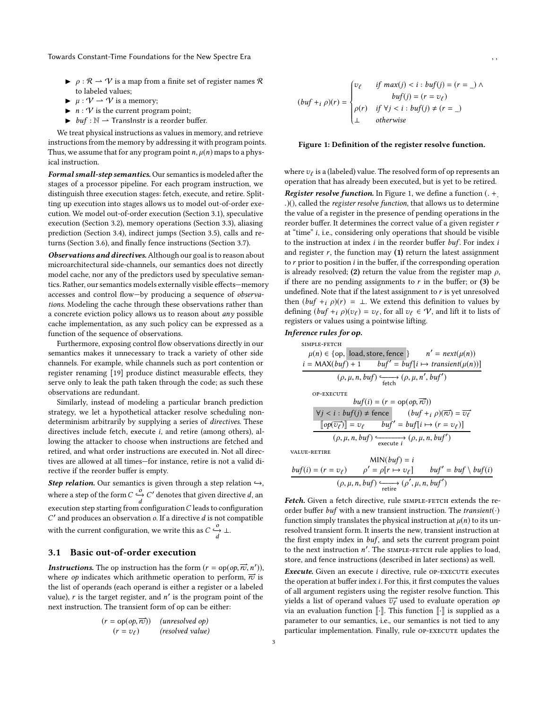- $\rho$  :  $\mathcal{R} \to \mathcal{V}$  is a map from a finite set of register names  $\mathcal{R}$ to labeled values;
- $\blacktriangleright$   $\mu : \mathcal{V} \to \mathcal{V}$  is a memory;
- $\blacktriangleright$  *n* : *V* is the current program point;
- $\triangleright$  buf :  $\mathbb{N} \rightharpoonup$  Translnstr is a reorder buffer.

We treat physical instructions as values in memory, and retrieve instructions from the memory by addressing it with program points. Thus, we assume that for any program point  $n$ ,  $\mu$ (n) maps to a physical instruction.

Formal small-step semantics. Our semantics is modeled after the stages of a processor pipeline. For each program instruction, we distinguish three execution stages: fetch, execute, and retire. Splitting up execution into stages allows us to model out-of-order execution. We model out-of-order execution (Section [3.1\)](#page-2-0), speculative execution (Section [3.2\)](#page-3-0), memory operations (Section [3.3\)](#page-4-0), aliasing prediction (Section [3.4\)](#page-6-0), indirect jumps (Section [3.5\)](#page-8-0), calls and returns (Section [3.6\)](#page-8-1), and finally fence instructions (Section [3.7\)](#page-9-0).

Observations and directives. Although our goal is to reason about microarchitectural side-channels, our semantics does not directly model cache, nor any of the predictors used by speculative semantics. Rather, our semantics models externally visible effects—memory accesses and control flow—by producing a sequence of observations. Modeling the cache through these observations rather than a concrete eviction policy allows us to reason about  $any$  possible cache implementation, as any such policy can be expressed as a function of the sequence of observations.

Furthermore, exposing control flow observations directly in our semantics makes it unnecessary to track a variety of other side channels. For example, while channels such as port contention or register renaming [\[19\]](#page-12-10) produce distinct measurable effects, they serve only to leak the path taken through the code; as such these observations are redundant.

Similarly, instead of modeling a particular branch prediction strategy, we let a hypothetical attacker resolve scheduling nondeterminism arbitrarily by supplying a series of directives. These directives include fetch, execute i, and retire (among others), allowing the attacker to choose when instructions are fetched and retired, and what order instructions are executed in. Not all directives are allowed at all times—for instance, retire is not a valid directive if the reorder buffer is empty.

Step relation. Our semantics is given through a step relation  $\hookrightarrow$ , where a step of the form  $C \frac{\partial}{\partial} C'$  denotes that given directive d, an execution step starting from configuration  $C$  leads to configuration  $C'$  and produces an observation  $o$ . If a directive  $d$  is not compatible with the current configuration, we write this as  $C \xrightarrow[d]{O} \bot$ .

# <span id="page-2-0"></span>3.1 Basic out-of-order execution

**Instructions.** The op instruction has the form  $(r = op(op, \vec{r}, n'))$ , where op indicates which arithmetic operation to perform,  $\vec{r}$  is the list of operands (each operand is either a register or a labeled value),  $r$  is the target register, and  $n'$  is the program point of the next instruction. The transient form of op can be either:

$$
(r = op(op, \overrightarrow{ro})) \quad (unresolved op)
$$
  

$$
(r = v_{\ell}) \qquad (resolved value)
$$

<span id="page-2-1"></span> $(buf + i \rho)(r) = \begin{cases}$  $\overline{\mathcal{L}}$  $\overline{\phantom{a}}$  $v_{\ell}$  if  $max(j) < i : but(j) = (r = \_) \wedge$  $buf(j) = (r = v_\ell)$  $\rho(r)$  if  $\forall j < i : \text{buf}(j) \neq (r = \_)$ ⊥ otherwise

#### Figure 1: Definition of the register resolve function.

where  $v_\ell$  is a (labeled) value. The resolved form of op represents an operation that has already been executed, but is yet to be retired.

**Register resolve function.** In Figure [1,](#page-2-1) we define a function  $($ . + .)(), called the register resolve function, that allows us to determine the value of a register in the presence of pending operations in the reorder buffer. It determines the correct value of a given register r at "time" i, i.e., considering only operations that should be visible to the instruction at index  $i$  in the reorder buffer  $buf$ . For index  $i$ and register  $r$ , the function may  $(1)$  return the latest assignment to  $r$  prior to position  $i$  in the buffer, if the corresponding operation is already resolved; (2) return the value from the register map  $\rho$ , if there are no pending assignments to  $r$  in the buffer; or (3) be undefined. Note that if the latest assignment to  $r$  is yet unresolved then  $(buf +i \rho)(r) = \bot$ . We extend this definition to values by defining  $(buf + i \rho)(v_\ell) = v_\ell$ , for all  $v_\ell \in \mathcal{V}$ , and lift it to lists of registers or values using a pointwise lifting.

#### Inference rules for op.

EXAMPLE-FFTCH

\n
$$
\mu(n) \in \{op, \mid load, store, fence\} \qquad n' = next(\mu(n))
$$
\n
$$
i = MAX(buf) + 1 \qquad but f' = but [i \mapsto transient(\mu(n))]
$$
\n
$$
(\rho, \mu, n, but f) \xrightarrow{\epsilon} (\rho, \mu, n', but f')
$$
\nOF-EXECUTE

\n
$$
but[i] = (r = op(op, π\vec{v}))
$$
\n
$$
\forall j < i : but(j) ≠ fence \qquad (but f + i \rho)(π\vec{v}) = \overrightarrow{v_{\ell}}
$$
\n
$$
\frac{[op(\overrightarrow{v_{\ell}})] = v_{\ell} \qquad but f' = but[i \mapsto (r = v_{\ell})]}
$$
\n
$$
(\rho, \mu, n, but f) \xrightarrow{c} exacti \qquad (\rho, \mu, n, but f')
$$
\nTHE-DEFIRF

value-retire

$$
\text{MIN}(buf) = i
$$
\n
$$
buf(i) = (r = v_\ell) \qquad \rho' = \rho[r \mapsto v_\ell] \qquad \text{buf}' = \text{buf} \setminus \text{buf}(i)
$$
\n
$$
(\rho, \mu, n, \text{buf}) \xrightarrow{\text{retire}} (\rho', \mu, n, \text{buf}')
$$

Fetch. Given a fetch directive, rule SIMPLE-FETCH extends the reorder buffer buf with a new transient instruction. The transient $(\cdot)$ function simply translates the physical instruction at  $\mu(n)$  to its unresolved transient form. It inserts the new, transient instruction at the first empty index in buf, and sets the current program point to the next instruction n'. The SIMPLE-FETCH rule applies to load, store, and fence instructions (described in later sections) as well.

Execute. Given an execute  $i$  directive, rule OP-EXECUTE executes the operation at buffer index i. For this, it first computes the values of all argument registers using the register resolve function. This yields a list of operand values  $\overrightarrow{v_{\ell}}$  used to evaluate operation op via an evaluation function  $\lbrack \cdot \rbrack$ . This function  $\lbrack \cdot \rbrack$  is supplied as a parameter to our semantics, i.e., our semantics is not tied to any particular implementation. Finally, rule OP-EXECUTE updates the

3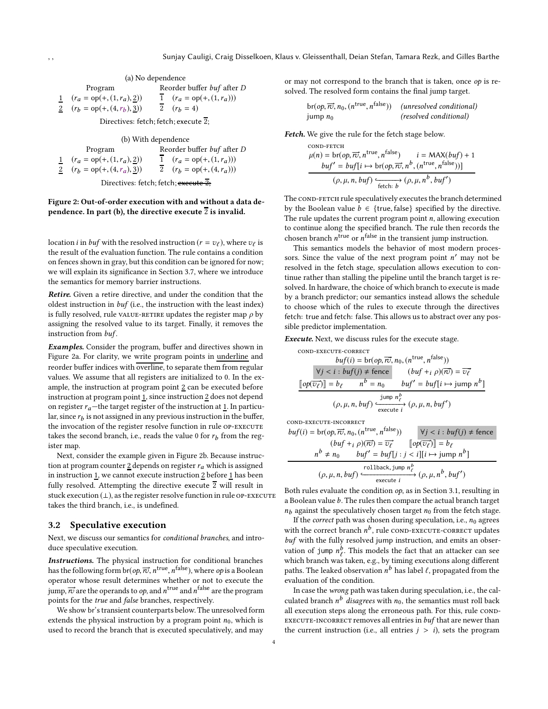<span id="page-3-1"></span>Program Reorder buffer buf after D  $1 \quad (r_a = \text{op}(+, (1, r_a), \underline{2})) \qquad \overline{1} \quad (r_a = \text{op}(+, (1, r_a)))$ 2  $(r_b = \text{op}(+, (4, r_b), 3))$  $\overline{2}$  (r<sub>b</sub> = 4)

Directives: fetch; fetch; execute 2;

(b) With dependence

 $\begin{array}{lll} \text{Program} & \text{Reorder buffer}\;buf \;\text{after}\;D \\ = \text{op}(+,(1,r_a),\underline{2})) & \overline{1} & (r_a = \text{op}(+(1,r_a))) \end{array}$  $\frac{1}{1}$   $(r_a = \text{op}(+, (1, r_a), \underline{2}))$   $\qquad \qquad \overline{1}$   $(r_a = \text{op}(+, (1, r_a)))$  $2 (r_b = \text{op}(+(4, r_a), 3))$   $\overline{2} (r_b = \text{op}(+(4, r_a)))$ 

Directives: fetch; fetch; execute 2;

## Figure 2: Out-of-order execution with and without a data dependence. In part (b), the directive execute  $\overline{2}$  is invalid.

location *i* in *buf* with the resolved instruction ( $r = v_\ell$ ), where  $v_\ell$  is the result of the evaluation function. The rule contains a condition on fences shown in gray, but this condition can be ignored for now; we will explain its significance in Section [3.7,](#page-9-0) where we introduce the semantics for memory barrier instructions.

Retire. Given a retire directive, and under the condition that the oldest instruction in buf (i.e., the instruction with the least index) is fully resolved, rule value-retire updates the register map  $\rho$  by assigning the resolved value to its target. Finally, it removes the instruction from buf.

**Examples.** Consider the program, buffer and directives shown in Figure [2a](#page-3-1). For clarity, we write program points in underline and reorder buffer indices with overline, to separate them from regular values. We assume that all registers are initialized to 0. In the example, the instruction at program point 2 can be executed before instruction at program point  $1$ , since instruction  $2$  does not depend on register  $r_a$ —the target register of the instruction at 1. In particular, since  $r_b$  is not assigned in any previous instruction in the buffer, the invocation of the register resolve function in rule OP-EXECUTE takes the second branch, i.e., reads the value 0 for  $r_b$  from the register map.

Next, consider the example given in Figure [2b](#page-3-1). Because instruction at program counter  $\underline{2}$  depends on register  $r_a$  which is assigned in instruction  $\underline{1}$ , we cannot execute instruction  $\underline{2}$  before  $\underline{1}$  has been fully resolved. Attempting the directive execute  $\overline{2}$  will result in stuck execution  $(⊥)$ , as the register resolve function in rule OP-EXECUTE takes the third branch, i.e., is undefined.

#### <span id="page-3-0"></span>3.2 Speculative execution

Next, we discuss our semantics for conditional branches, and introduce speculative execution.

Instructions. The physical instruction for conditional branches has the following form br(*op,*  $\overrightarrow{rv}, n^{\rm true}, n^{\rm false}$ *), where op* is a Boolean operator whose result determines whether or not to execute the jump,  $\overrightarrow{rv}$  are the operands to  $op$ , and  $n^{\rm true}$  and  $n^{\rm false}$  are the program points for the true and false branches, respectively.

We show br's transient counterparts below. The unresolved form extends the physical instruction by a program point  $n_0$ , which is used to record the branch that is executed speculatively, and may

or may not correspond to the branch that is taken, once op is resolved. The resolved form contains the final jump target.

$$
br(op,  $\overrightarrow{n}$ ,  $n_0$ , ( $n^{\text{true}}, n^{\text{false}}$ )) (unresolved conditional)  
jump  $n_0$  (resolved conditional)
$$

Fetch. We give the rule for the fetch stage below.

\n
$$
\mu(n) = \text{br}(op, \overrightarrow{rc}, n^{\text{true}}, n^{\text{false}}) \quad i = \text{MAX}(buf) + 1
$$
\n

\n\n $\frac{buf' = \text{buf}[i \mapsto \text{br}(op, \overrightarrow{rc}, n^b, (n^{\text{true}}, n^{\text{false}}))]}{(\rho, \mu, n, \text{buf}) \xrightarrow{\text{fetch}: b} (\rho, \mu, n^b, \text{buf}')}$ \n

The COND-FETCH rule speculatively executes the branch determined by the Boolean value  $b \in \{true, false\}$  specified by the directive. The rule updates the current program point  $n$ , allowing execution to continue along the specified branch. The rule then records the chosen branch  $n^{\text{true}}$  or  $n^{\text{false}}$  in the transient jump instruction.

This semantics models the behavior of most modern processors. Since the value of the next program point  $n'$  may not be resolved in the fetch stage, speculation allows execution to continue rather than stalling the pipeline until the branch target is resolved. In hardware, the choice of which branch to execute is made by a branch predictor; our semantics instead allows the schedule to choose which of the rules to execute through the directives fetch: true and fetch: false. This allows us to abstract over any possible predictor implementation.

Execute. Next, we discuss rules for the execute stage.

cond-execute-correct  $buf(i) = br(op, \overrightarrow{ro}, n_0, (n^{\text{true}}, n^{\text{false}}))$  $\forall j < i : \text{buf}(j) \neq \text{fence}$   $(\text{buf} +_i \rho)(\overrightarrow{rv}) = \overrightarrow{v_{\ell}}$  $\llbracket op(\overline{v_{\ell}})\rrbracket = b_{\ell} \qquad n^{b} = n_{0} \qquad buf' = buf[i \mapsto jump \; n^{b}]$  $(\rho, \mu, n, buf) \xleftarrow{\text{jump } n^b_\ell} (\rho, \mu, n, buf')$ 

cond-execute-incorrect

$$
buf(i) = br(op, \overrightarrow{rc}, n_0, (n^{\text{true}}, n^{\text{false}})) \qquad \forall j < i : buf(j) \neq \text{fence}
$$
\n
$$
(buf + i \rho)(\overrightarrow{rc}) = \overrightarrow{v_\ell} \qquad [op(\overrightarrow{v_\ell})] = b_\ell
$$
\n
$$
n^b \neq n_0 \qquad buf' = buf[j : j < i][i \mapsto jump \ n^b]
$$
\n
$$
(\rho, \mu, n, butf) \xleftarrow{\text{rollback}, jump \ n^b}_{\text{execute } i} (\rho, \mu, n^b, butf')
$$

Both rules evaluate the condition  $op$ , as in Section [3.1,](#page-2-0) resulting in a Boolean value b. The rules then compare the actual branch target  $n_b$  against the speculatively chosen target  $n_0$  from the fetch stage.

If the *correct* path was chosen during speculation, i.e.,  $n_0$  agrees with the correct branch  $n^b$ , rule <code>cond-execute-correct</code> updates buf with the fully resolved jump instruction, and emits an observation of jump  $n_{\ell}^b$ . This models the fact that an attacker can see which branch was taken, e.g., by timing executions along different paths. The leaked observation  $n^b$  has label  $\ell$ , propagated from the evaluation of the condition.

In case the wrong path was taken during speculation, i.e., the calculated branch  $n^b$  *disagrees* with  $n_0$ , the semantics must roll back all execution steps along the erroneous path. For this, rule COND-EXECUTE-INCORRECT removes all entries in  $buf$  that are newer than the current instruction (i.e., all entries  $j > i$ ), sets the program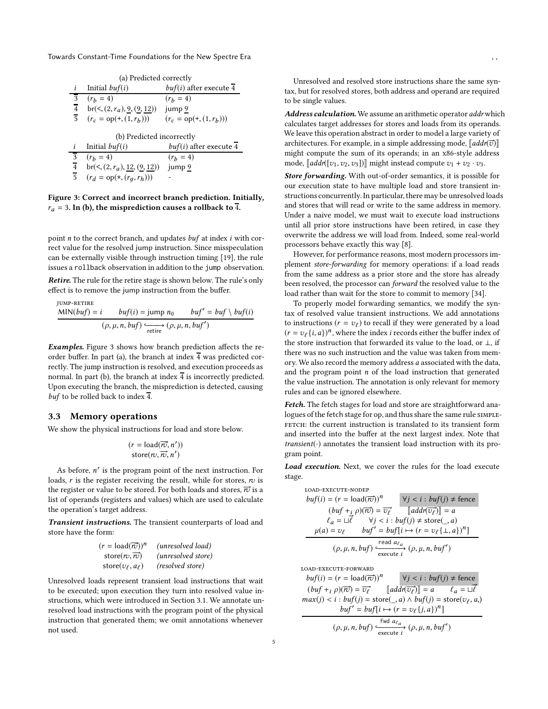<span id="page-4-1"></span>

|                                  | (a) Predicted correctly                                          |                                     |  |  |  |  |  |
|----------------------------------|------------------------------------------------------------------|-------------------------------------|--|--|--|--|--|
|                                  | Initial $buf(i)$                                                 | $buf(i)$ after execute 4            |  |  |  |  |  |
| 3                                | $(r_h = 4)$                                                      | $(r_h = 4)$                         |  |  |  |  |  |
| $\overline{4}$                   | $br(< (2, r_a), \underline{9}, (\underline{9}, \underline{12}))$ | jump 9                              |  |  |  |  |  |
| $\overline{5}$                   | $(r_c = \text{op}(+, (1, r_h)))$                                 | $(r_c = \text{op}(+, (1, r_h)))$    |  |  |  |  |  |
|                                  |                                                                  |                                     |  |  |  |  |  |
|                                  | (b) Predicted incorrectly                                        |                                     |  |  |  |  |  |
| i                                | Initial $buf(i)$                                                 | buf(i) after execute $\overline{4}$ |  |  |  |  |  |
| $\overline{3}$                   | $(r_h = 4)$                                                      | $(r_h = 4)$                         |  |  |  |  |  |
| $\overline{4}$<br>$\overline{5}$ | $br(< (2, r_a), 12, (9, 12))$                                    | jump 9                              |  |  |  |  |  |

Figure 3: Correct and incorrect branch prediction. Initially,  $r_a = 3$ . In (b), the misprediction causes a rollback to 4.

point  $n$  to the correct branch, and updates  $buf$  at index  $i$  with correct value for the resolved jump instruction. Since misspeculation can be externally visible through instruction timing [\[19\]](#page-12-10), the rule issues a rollback observation in addition to the jump observation.

Retire. The rule for the retire stage is shown below. The rule's only effect is to remove the jump instruction from the buffer.

$$
JUMP-RETIME
$$
  
MIN(*buf*) = *i buf*(*i*) = jump *n*<sub>0</sub> *buf'* = *buf* \ *buf*(*i*) *(ρ, μ, n, buf)*  $\xrightarrow{\text{retrie}}$  (*ρ, μ, n, buf'*)

Examples. Figure [3](#page-4-1) shows how branch prediction affects the reorder buffer. In part (a), the branch at index  $\overline{4}$  was predicted correctly. The jump instruction is resolved, and execution proceeds as normal. In part (b), the branch at index  $\overline{4}$  is incorrectly predicted. Upon executing the branch, the misprediction is detected, causing buf to be rolled back to index  $\overline{4}$ .

#### <span id="page-4-0"></span>3.3 Memory operations

We show the physical instructions for load and store below.

$$
(r = \text{load}(\overrightarrow{rv}, n'))
$$
  
store $(rv, \overrightarrow{rv}, n')$ 

As before, *n'* is the program point of the next instruction. For loads,  $r$  is the register receiving the result, while for stores,  $rv$  is the register or value to be stored. For both loads and stores,  $\overrightarrow{rv}$  is a list of operands (registers and values) which are used to calculate the operation's target address.

Transient instructions. The transient counterparts of load and store have the form:

$$
(r = load(\overrightarrow{rv}))^n
$$
 (unresolved load)  
store( $rv, \overrightarrow{rv}$ ) (unresolved store)  
store( $v_{\ell}, a_{\ell}$ ) (resolved store)

Unresolved loads represent transient load instructions that wait to be executed; upon execution they turn into resolved value instructions, which were introduced in Section [3.1.](#page-2-0) We annotate unresolved load instructions with the program point of the physical instruction that generated them; we omit annotations whenever not used.

Unresolved and resolved store instructions share the same syntax, but for resolved stores, both address and operand are required to be single values.

Address calculation. We assume an arithmetic operator addr which calculates target addresses for stores and loads from its operands. We leave this operation abstract in order to model a large variety of architectures. For example, in a simple addressing mode,  $\lceil \mathit{addr}(\vec{v}) \rceil$ might compute the sum of its operands; in an x86-style address mode,  $\llbracket \text{addr}([v_1,v_2,v_3]) \rrbracket$  might instead compute  $v_1 + v_2 \cdot v_3$ .

Store forwarding. With out-of-order semantics, it is possible for our execution state to have multiple load and store transient instructions concurrently. In particular, there may be unresolved loads and stores that will read or write to the same address in memory. Under a naive model, we must wait to execute load instructions until all prior store instructions have been retired, in case they overwrite the address we will load from. Indeed, some real-world processors behave exactly this way [\[8](#page-12-18)].

However, for performance reasons, most modern processors implement store-forwarding for memory operations: if a load reads from the same address as a prior store and the store has already been resolved, the processor can forward the resolved value to the load rather than wait for the store to commit to memory [\[34\]](#page-13-0).

To properly model forwarding semantics, we modify the syntax of resolved value transient instructions. We add annotations to instructions  $(r = v_\ell)$  to recall if they were generated by a load  $(r = v_{\ell} \{i, a\})^n$ , where the index *i* records either the buffer index of the store instruction that forwarded its value to the load, or ⊥, if there was no such instruction and the value was taken from memory. We also record the memory address a associated with the data, and the program point  $n$  of the load instruction that generated the value instruction. The annotation is only relevant for memory rules and can be ignored elsewhere.

Fetch. The fetch stages for load and store are straightforward analogues of the fetch stage for op, and thus share the same rule SIMPLE-FETCH: the current instruction is translated to its transient form and inserted into the buffer at the next largest index. Note that  $transient(\cdot)$  annotates the transient load instruction with its program point.

Load execution. Next, we cover the rules for the load execute stage.

LOAD-EXECUTE-NODE

\n
$$
buf(i) = (r = \text{load}(\overline{r}c))^n
$$
\n
$$
Vj < i : buf(j) \neq \text{fence}
$$
\n
$$
(buf +_i \rho)(\overline{r}c) = \overline{v}c
$$
\n
$$
[addr(\overline{v}c)] = a
$$
\n
$$
\ell_a = \Box \overline{\ell} \qquad \forall j < i : buf(j) \neq \text{store}(\_, a)
$$
\n
$$
\mu(a) = v\ell \qquad buf' = buf[i \mapsto (r = v_{\ell} \{ \bot, a \})^n]
$$
\n
$$
(\rho, \mu, n, buf) \xrightarrow{\text{read } a\ell_a} (\rho, \mu, n, buf')
$$
\nLOAD-EXECUTE-FORWARD

\n
$$
buf(i) = (r = \text{load}(\overline{r}c))^n
$$
\n
$$
Vi < i : buf(i) \neq \text{force}
$$

 $buf(i) = (r = load(\overrightarrow{rv}))$  $(\overrightarrow{rv}))^n$   $\forall j < i : \text{buf}(j) \neq \text{fence}$  $(buf + i \rho)(\overrightarrow{rv}) = \overrightarrow{v_{\ell}}$  $\overrightarrow{v_{\ell}}$  [addr( $\overrightarrow{v_{\ell}}$ )  $\mathbb{E}[\mathbf{z} = a \quad \ell_a = \mathbb{Z} \vec{\ell}]$  $max(j) < i : but(j) = store(\_, a) \land but f(j) = store(\nu_{\ell}, a)$  $buf' = buf[i \mapsto (r = v_{\ell} \{j, a\})^n]$  $(\rho, \mu, n, but) \xrightarrow[\text{execute } i]{\text{fwd } a_{\ell_a}} (\rho, \mu, n, but')$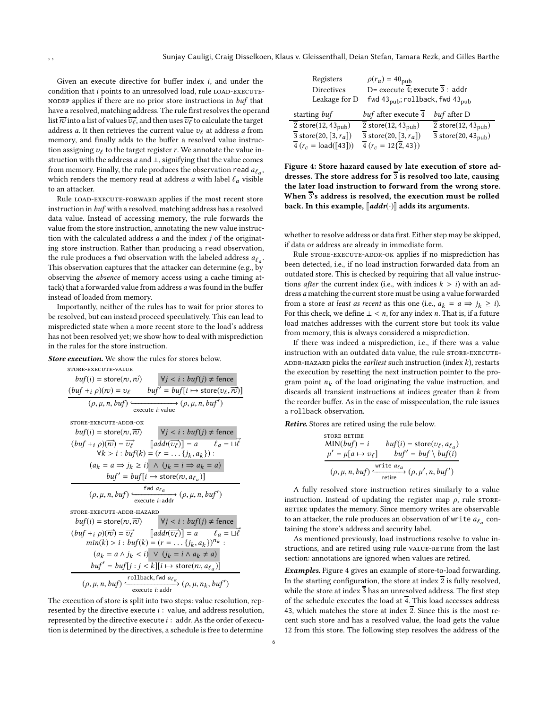Given an execute directive for buffer index i, and under the condition that i points to an unresolved load, rule LOAD-EXECUTEnodep applies if there are no prior store instructions in buf that have a resolved, matching address. The rule first resolves the operand list  $\overrightarrow{r\!v}$  into a list of values  $\overrightarrow{v_{\ell}}$  , and then uses  $\overrightarrow{v_{\ell}}$  to calculate the target address a. It then retrieves the current value  $v_f$  at address a from memory, and finally adds to the buffer a resolved value instruction assigning  $v_\ell$  to the target register  $r$ . We annotate the value instruction with the address a and ⊥, signifying that the value comes from memory. Finally, the rule produces the observation read  $a_{\ell_a}$ , which renders the memory read at address  $a$  with label  $\ell_a$  visible to an attacker.

Rule load-execute-forward applies if the most recent store instruction in buf with a resolved, matching address has a resolved data value. Instead of accessing memory, the rule forwards the value from the store instruction, annotating the new value instruction with the calculated address  $a$  and the index  $j$  of the originating store instruction. Rather than producing a read observation, the rule produces a fwd observation with the labeled address  $a_{\ell_a}$ . This observation captures that the attacker can determine (e.g., by observing the absence of memory access using a cache timing attack) that a forwarded value from address a was found in the buffer instead of loaded from memory.

Importantly, neither of the rules has to wait for prior stores to be resolved, but can instead proceed speculatively. This can lead to mispredicted state when a more recent store to the load's address has not been resolved yet; we show how to deal with misprediction in the rules for the store instruction.

Store execution. We show the rules for stores below.

$$
score\text{-}EXECUTE-vALUE}
$$
\nbut (i) = store (rv, π)  
\n
$$
(buf + i \rho)(rv) = v_{\ell} \qquad buf' = buf[i \rightarrow store(v_{\ell}, π)]
$$
\n
$$
(ρ, μ, n, buf) \xrightarrow{e} (ρ, μ, n, buf')
$$
\n
$$
score\text{-}EXECUTE-ADDR-OK
$$
\n
$$
buf(i) = store(rv, π)\n
$$
(buf + i \rho)(π) = \overline{v_{\ell}}
$$
 
$$
[add(π\overline{v_{\ell}})] = a \qquad \ell_a = ∪\ell
$$
\n
$$
Vk > i : buf(k) = (r = ... {j_k, a_k}) :
$$
\n
$$
(a_k = a \Rightarrow j_k \ge i) \land (j_k = i \Rightarrow a_k = a)
$$
\n
$$
buf' = buf[i \rightarrow store(rv, a_{\ell_a})]
$$
\n
$$
(ρ, μ, n, buf) \xrightarrow{fwd a_{\ell_a}}
$$
\n
$$
for \text{ } s = x \text{ if } \ell \in \mathbb{Z}
$$
\n
$$
buf(i) = store(rv, π)\n
$$
buf(i) = store(rv, π)\n
$$
buf(i) = store(rv, π)\n
$$
Vj < i : buf(j) \ne \text{fence}
$$
\n
$$
(buf + i \rho)(π) = \overline{v_{\ell}}
$$
 
$$
[add(π\overline{v_{\ell}})] = a \qquad \ell_a = ∪\ell
$$
\n
$$
min(k) > i : buf(k) = (r = ... {j_k, a_k})^n :
$$
\n
$$
(a_k = a \land j_k < i) \lor (j_k = i \land a_k \ne a)
$$
\n
$$
buf' = buf[j : j < k][i \mapsto store(rv, a_{\ell_a})]
$$
\n
$$
(ρ, μ, n, buf) \xrightarrow{rollback, fwd a_{\ell_a}}
$$
\n
$$
(ρ, μ, n, buf')
$$
$$
$$
$$
$$

The execution of store is split into two steps: value resolution, represented by the directive execute  $i$ : value, and address resolution, represented by the directive execute  $i : addr$ . As the order of execution is determined by the directives, a schedule is free to determine

֒−−−−−−−−−−−−−−−→ execute <sup>i</sup>: addr

<span id="page-5-0"></span>

| Registers                                    | $\rho(r_a) = 40_{\text{pub}}$                             |                                              |  |  |  |
|----------------------------------------------|-----------------------------------------------------------|----------------------------------------------|--|--|--|
| <b>Directives</b>                            | D= execute $\overline{4}$ ; execute 3 : addr              |                                              |  |  |  |
| Leakage for D                                | fwd 43 $_{\text{pub}}$ ; rollback, fwd 43 $_{\text{pub}}$ |                                              |  |  |  |
| starting buf                                 | buf after execute 4                                       | buf after D                                  |  |  |  |
| $\overline{2}$ store(12, 43 <sub>pub</sub> ) | $\overline{2}$ store(12, 43 <sub>pub</sub> )              | $\overline{2}$ store(12, 43 <sub>pub</sub> ) |  |  |  |
| $\overline{3}$ store(20, [3, $r_a$ ])        | 3 store(20, [3, $r_a$ ])                                  | $\overline{3}$ store(20, 43 <sub>pub</sub> ) |  |  |  |
| $\overline{4}(r_c = \text{load}([43]))$      | $\overline{4}(r_c = 12\{2, 43\})$                         |                                              |  |  |  |

Figure 4: Store hazard caused by late execution of store addresses. The store address for  $\overline{3}$  is resolved too late, causing the later load instruction to forward from the wrong store. When 3's address is resolved, the execution must be rolled back. In this example,  $\llbracket addr(\cdot) \rrbracket$  adds its arguments.

whether to resolve address or data first. Either step may be skipped, if data or address are already in immediate form.

Rule STORE-EXECUTE-ADDR-OK applies if no misprediction has been detected, i.e., if no load instruction forwarded data from an outdated store. This is checked by requiring that all value instructions *after* the current index (i.e., with indices  $k > i$ ) with an address a matching the current store must be using a value forwarded from a store *at least as recent* as this one (i.e.,  $a_k = a \Rightarrow j_k \ge i$ ). For this check, we define  $\perp < n$ , for any index n. That is, if a future load matches addresses with the current store but took its value from memory, this is always considered a misprediction.

If there was indeed a misprediction, i.e., if there was a value instruction with an outdated data value, the rule STORE-EXECUTE-ADDR-HAZARD picks the earliest such instruction (index  $k$ ), restarts the execution by resetting the next instruction pointer to the program point  $n_k$  of the load originating the value instruction, and discards all transient instructions at indices greater than k from the reorder buffer. As in the case of misspeculation, the rule issues a rollback observation.

Retire. Stores are retired using the rule below.

$$
\text{STORE-RETIME}\n\text{MIN}(buf) = i \quad buf(i) = \text{store}(v_\ell, a_{\ell_a})\n\mu' = \mu[a \rightarrow v_\ell] \quad buf' = buf \setminus buf(i)\n\over (\rho, \mu, n, buf) \xrightarrow{\text{write } a_{\ell_a}} (\rho, \mu', n, buf')
$$

A fully resolved store instruction retires similarly to a value instruction. Instead of updating the register map  $\rho$ , rule store-RETIRE updates the memory. Since memory writes are observable to an attacker, the rule produces an observation of write  $a_{\ell_a}$  containing the store's address and security label.

As mentioned previously, load instructions resolve to value instructions, and are retired using rule VALUE-RETIRE from the last section: annotations are ignored when values are retired.

Examples. Figure [4](#page-5-0) gives an example of store-to-load forwarding. In the starting configuration, the store at index  $\overline{2}$  is fully resolved, while the store at index  $\overline{3}$  has an unresolved address. The first step of the schedule executes the load at  $\overline{4}$ . This load accesses address 43, which matches the store at index  $\overline{2}$ . Since this is the most recent such store and has a resolved value, the load gets the value 12 from this store. The following step resolves the address of the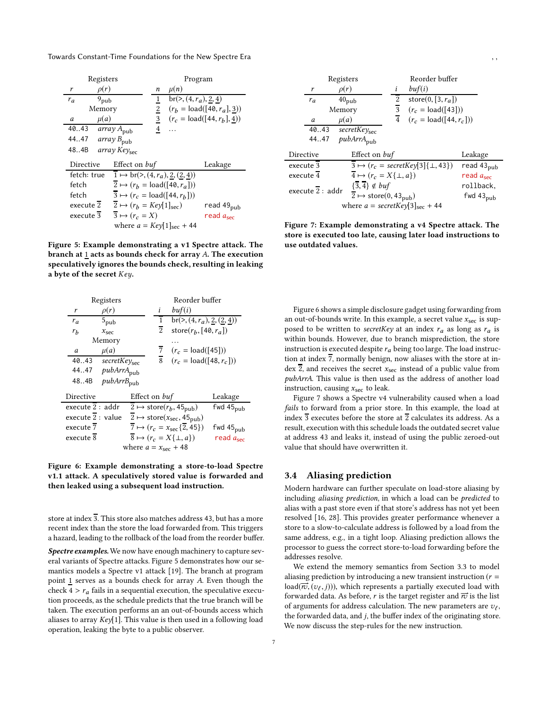<span id="page-6-1"></span>Towards Constant-Time Foundations for the New Spectre Era

| Registers          |                                                                          | Program                 |                              |  |
|--------------------|--------------------------------------------------------------------------|-------------------------|------------------------------|--|
| $\rho(r)$<br>r     | n                                                                        | $\mu(n)$                |                              |  |
| $9_{pub}$<br>$r_a$ | 1                                                                        | $br(>, (4, r_a), 2, 4)$ |                              |  |
| Memory             | $\overline{2}$                                                           |                         | $(r_b = load([40, r_a], 3))$ |  |
| $\mu(a)$<br>a      | $\overline{3}$                                                           |                         | $(r_c = load([44, r_h], 4))$ |  |
| 40.43              | $\overline{\mathbf{4}}$<br>array $A_{pub}$                               |                         |                              |  |
| 4447               | array $B_{\text{pub}}$                                                   |                         |                              |  |
| 484B               | $array$ $Key_{\rm sec}$                                                  |                         |                              |  |
| Directive          | Effect on buf                                                            |                         | Leakage                      |  |
| fetch: true        | $1 \mapsto br(>(4, r_a), \underline{2}, (\underline{2}, \underline{4}))$ |                         |                              |  |
| fetch              | $\overline{2} \mapsto (r_b = \text{load}([40, r_a]))$                    |                         |                              |  |
| fetch              | $\overline{3} \mapsto (r_c = \text{load}([44, r_b]))$                    |                         |                              |  |
| execute 2          | $2 \mapsto (r_b = \text{Key}[1]_{\text{sec}})$                           |                         | read 49 <sub>pub</sub>       |  |
| execute 3          | $\overline{3} \mapsto (r_c = X)$                                         |                         | read $a_{\rm sec}$           |  |
|                    | where $a = Key[1]_{sec} + 44$                                            |                         |                              |  |

Figure 5: Example demonstrating a v1 Spectre attack. The branch at  $1$  acts as bounds check for array  $A$ . The execution speculatively ignores the bounds check, resulting in leaking a byte of the secret Key.

<span id="page-6-2"></span>

| Registers                  |                                 |                | Reorder buffer                                                    |                    |
|----------------------------|---------------------------------|----------------|-------------------------------------------------------------------|--------------------|
| $\rho(r)$<br>r             |                                 | i              | buf(i)                                                            |                    |
| $5_{\rm pub}$<br>$r_a$     |                                 | 1              | br(>, $(4, r_a)$ , $2$ , $(2, 4)$ )                               |                    |
| $r_b$<br>$x_{\rm sec}$     |                                 | $\overline{2}$ | store $(r_h, \lceil 40, r_a \rceil)$                              |                    |
| Memory                     |                                 |                |                                                                   |                    |
| $\mu(a)$<br>a              |                                 | 7              | $(r_c = load([45]))$                                              |                    |
| 40.43<br>$secretKey_{sec}$ |                                 | 8              | $(r_c = load([48, r_c]))$                                         |                    |
| $pubArr A_{pub}$<br>4447   |                                 |                |                                                                   |                    |
| $pubArr B_{pub}$<br>484B   |                                 |                |                                                                   |                    |
| Directive                  | Effect on buf                   |                |                                                                   | Leakage            |
| execute 2 : addr           |                                 |                | $\overline{2} \mapsto \text{store}(r_b, 45_{\text{pub}})$         | $fwd 45_{pub}$     |
| execute 2 : value          |                                 |                | 2 $\mapsto$ store( $x_{\text{sec}}$ , 45 <sub>pub</sub> )         |                    |
| execute $\overline{7}$     |                                 |                | $\overline{7} \mapsto (r_c = x_{\text{sec}}\{\overline{2}, 45\})$ | $fwd 45_{pub}$     |
| execute $\overline{8}$     |                                 |                | $\overline{8} \mapsto (r_c = X\{\perp, a\})$                      | read $a_{\rm sec}$ |
|                            | where $a = x_{\text{sec}} + 48$ |                |                                                                   |                    |

Figure 6: Example demonstrating a store-to-load Spectre v1.1 attack. A speculatively stored value is forwarded and then leaked using a subsequent load instruction.

store at index 3. This store also matches address 43, but has a more recent index than the store the load forwarded from. This triggers a hazard, leading to the rollback of the load from the reorder buffer.

Spectre examples. We now have enough machinery to capture several variants of Spectre attacks. Figure [5](#page-6-1) demonstrates how our semantics models a Spectre v1 attack [\[19\]](#page-12-10). The branch at program point  $1$  serves as a bounds check for array  $A$ . Even though the check  $4 > r_a$  fails in a sequential execution, the speculative execution proceeds, as the schedule predicts that the true branch will be taken. The execution performs an an out-of-bounds access which aliases to array Key[1]. This value is then used in a following load operation, leaking the byte to a public observer.

<span id="page-6-3"></span>

| Registers              |                                                                                                                                                                    |                | Reorder buffer                                       |                             |
|------------------------|--------------------------------------------------------------------------------------------------------------------------------------------------------------------|----------------|------------------------------------------------------|-----------------------------|
| $\rho(r)$<br>r         |                                                                                                                                                                    | i              | buf(i)                                               |                             |
| $r_a$                  | $40_{\rm pub}$                                                                                                                                                     | 2              | store $(0, [3, r_a])$                                |                             |
| Memory                 |                                                                                                                                                                    | $\overline{3}$ | $(r_c = load([43]))$                                 |                             |
| $\mu(a)$<br>a          |                                                                                                                                                                    | $\overline{4}$ | $(r_c = load([44, r_c]))$                            |                             |
| 40.43                  | $\overline{\text{secretKey}_{\text{sec}}}$                                                                                                                         |                |                                                      |                             |
| 4447                   | $pubArr A_{pub}$                                                                                                                                                   |                |                                                      |                             |
| Directive              | Effect on buf                                                                                                                                                      |                |                                                      | Leakage                     |
| execute 3              |                                                                                                                                                                    |                | $3 \mapsto (r_c = \text{secretKey}[3]\{\perp, 43\})$ | read $43_{\text{pub}}$      |
| execute $\overline{4}$ | $4 \mapsto (r_c = X\{\perp, a\})$                                                                                                                                  |                |                                                      | read $a_{\rm sec}$          |
| execute $2:$ addr      | $\{\overline{3},\overline{4}\}\notin \mathit{buf}$<br>$\overline{2} \mapsto \text{store}(0, 43_{\text{pub}})$<br>where $a = \text{secretKey}[3]_{\text{sec}} + 44$ |                |                                                      | rollback,<br>fwd $43_{pub}$ |

Figure 7: Example demonstrating a v4 Spectre attack. The store is executed too late, causing later load instructions to use outdated values.

Figure [6](#page-6-2) shows a simple disclosure gadget using forwarding from an out-of-bounds write. In this example, a secret value  $x_{\text{sec}}$  is supposed to be written to secretKey at an index  $r_a$  as long as  $r_a$  is within bounds. However, due to branch misprediction, the store instruction is executed despite  $r_a$  being too large. The load instruction at index  $\overline{7}$ , normally benign, now aliases with the store at index  $\overline{2}$ , and receives the secret  $x_{\text{sec}}$  instead of a public value from pubArrA. This value is then used as the address of another load instruction, causing  $x_{\text{sec}}$  to leak.

Figure [7](#page-6-3) shows a Spectre v4 vulnerability caused when a load fails to forward from a prior store. In this example, the load at index  $\overline{3}$  executes before the store at  $\overline{2}$  calculates its address. As a result, execution with this schedule loads the outdated secret value at address 43 and leaks it, instead of using the public zeroed-out value that should have overwritten it.

#### <span id="page-6-0"></span>3.4 Aliasing prediction

Modern hardware can further speculate on load-store aliasing by including aliasing prediction, in which a load can be predicted to alias with a past store even if that store's address has not yet been resolved [\[16,](#page-12-19) [28](#page-12-20)]. This provides greater performance whenever a store to a slow-to-calculate address is followed by a load from the same address, e.g., in a tight loop. Aliasing prediction allows the processor to guess the correct store-to-load forwarding before the addresses resolve.

We extend the memory semantics from Section [3.3](#page-4-0) to model aliasing prediction by introducing a new transient instruction ( $r =$  $\textsf{load}(\overrightarrow{rv},(v_\ell,j)))$ , which represents a partially executed load with forwarded data. As before, r is the target register and  $\vec{r}$  is the list of arguments for address calculation. The new parameters are  $v_{\ell}$ , the forwarded data, and j, the buffer index of the originating store. We now discuss the step-rules for the new instruction.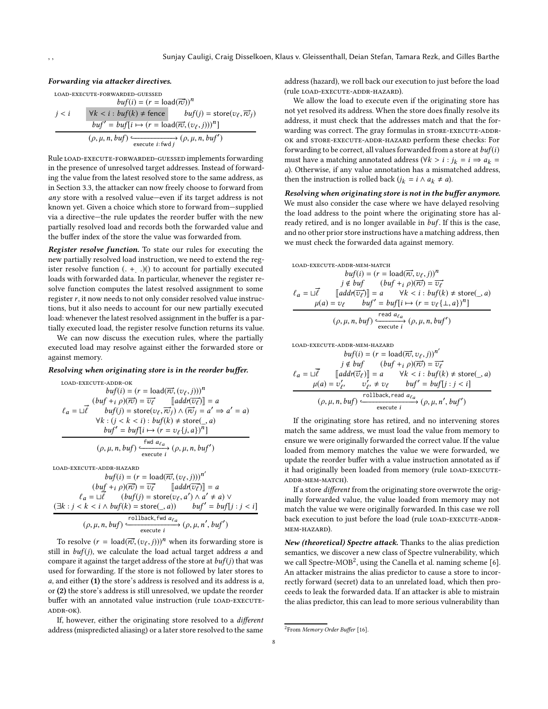#### Forwarding via attacker directives.

load-execute-forwarded-guessed  $buf(i) = (r = load(\overrightarrow{rv}))^n$  $j < i$   $\forall k < i : \text{buf}(k) \neq \text{fence}$  $,\overrightarrow{r_{ij}})$  $buf' = buf[i \mapsto (r = load(\vec{rc}, (v_{\ell}, j)))^n]$  $(\rho, \mu, n, buf) \xrightarrow{\epsilon_{\text{execute } i: fwd j}} (\rho, \mu, n, buf')$ 

Rule load-execute-forwarded-guessed implements forwarding in the presence of unresolved target addresses. Instead of forwarding the value from the latest resolved store to the same address, as in Section [3.3,](#page-4-0) the attacker can now freely choose to forward from any store with a resolved value—even if its target address is not known yet. Given a choice which store to forward from—supplied via a directive—the rule updates the reorder buffer with the new partially resolved load and records both the forwarded value and the buffer index of the store the value was forwarded from.

Register resolve function. To state our rules for executing the new partially resolved load instruction, we need to extend the register resolve function (. +. .)() to account for partially executed loads with forwarded data. In particular, whenever the register resolve function computes the latest resolved assignment to some register r, it now needs to not only consider resolved value instructions, but it also needs to account for our new partially executed load: whenever the latest resolved assignment in the buffer is a partially executed load, the register resolve function returns its value.

We can now discuss the execution rules, where the partially executed load may resolve against either the forwarded store or against memory.

#### Resolving when originating store is in the reorder buffer.

load-execute-addr-ok

$$
buf(i) = (r = load(\overrightarrow{rv}, (v_{\ell}, j)))^n
$$
  
\n
$$
\ell_a = \sqcup \overrightarrow{\ell} \qquad \text{but } f(j) = \overrightarrow{vv} \qquad \text{[add}(\overrightarrow{rv}) \qquad \text{= } a
$$
  
\n
$$
\ell_a = \sqcup \overrightarrow{\ell} \qquad \text{but } f(j) = \text{store}(v_{\ell}, \overrightarrow{rv}_j) \land (\overrightarrow{rv}_j = a' \Rightarrow a' = a)
$$
  
\n
$$
\forall k : (j < k < i) : \text{but } (k) \neq \text{store}(\_a)
$$
  
\n
$$
\text{but } f' = \text{but } [i \mapsto (r = v_{\ell} \{j, a\})^n]
$$
  
\n
$$
(\rho, \mu, n, \text{but } f) \xrightarrow{\text{fwd } a_{\ell_a}} (\rho, \mu, n, \text{but } f')
$$

load-execute-addr-hazard

$$
buf(i) = (r = load(\overrightarrow{rv}, (v_{\ell}, j)))^{n'}
$$

$$
(buff + i\rho)(\overrightarrow{rv}) = \overrightarrow{v_{\ell}} \qquad [add(\overrightarrow{v_{\ell}})] = a
$$

$$
\ell_a = \sqcup \overrightarrow{\ell} \qquad (buf(j) = store(v_{\ell}, a') \land a' \neq a) \lor
$$

$$
(\exists k : j < k < i \land buf(k) = store(\_, a)) \qquad buf' = buf[j : j < i]
$$

$$
(\rho, \mu, n, buf) \xleftarrow{\text{rollback, fwd } a_{\ell_a}} (\rho, \mu, n', buf')
$$

To resolve  $(r = \text{load}(\overrightarrow{rv}, (v_\ell, j)))^n$  when its forwarding store is still in  $buf(j)$ , we calculate the load actual target address  $a$  and compare it against the target address of the store at  $buf(j)$  that was used for forwarding. If the store is not followed by later stores to  $a$ , and either (1) the store's address is resolved and its address is  $a$ , or (2) the store's address is still unresolved, we update the reorder buffer with an annotated value instruction (rule LOAD-EXECUTEaddr-ok).

If, however, either the originating store resolved to a different address (mispredicted aliasing) or a later store resolved to the same

address (hazard), we roll back our execution to just before the load (rule load-execute-addr-hazard).

We allow the load to execute even if the originating store has not yet resolved its address. When the store does finally resolve its address, it must check that the addresses match and that the forwarding was correct. The gray formulas in STORE-EXECUTE-ADDRok and store-execute-addr-hazard perform these checks: For forwarding to be correct, all values forwarded from a store at  $buf(i)$ must have a matching annotated address ( $\forall k > i : j_k = i \Rightarrow a_k =$ a). Otherwise, if any value annotation has a mismatched address, then the instruction is rolled back ( $j_k = i \land a_k \neq a$ ).

Resolving when originating store is not in the buffer anymore. We must also consider the case where we have delayed resolving the load address to the point where the originating store has already retired, and is no longer available in buf. If this is the case, and no other prior store instructions have a matching address, then we must check the forwarded data against memory.

LOAD-EXECUTE-ADDR-MAMATCH

\n
$$
buf(i) = (r = \text{load}(\overrightarrow{rv}, v_{\ell}, j))^n
$$
\n
$$
j \notin buf \qquad (buf + i \rho)(\overrightarrow{rv}) = \overrightarrow{v_{\ell}}
$$
\n
$$
\ell_a = \sqcup \overrightarrow{\ell} \qquad \text{[addr}(\overrightarrow{v_{\ell}})] = a \qquad \forall k < i : buf(k) \neq store(\_, a)
$$
\n
$$
\mu(a) = v_{\ell} \qquad buf' = buf[i \mapsto (r = v_{\ell} \{ \bot, a \})^n]
$$
\n
$$
(\rho, \mu, n, buf) \xleftarrow{\text{read } a_{\ell_a}} (\rho, \mu, n, buf')
$$

load-execute-addr-mem-hazard

$$
buf(i) = (r = load(\overrightarrow{rv}, v_\ell, j))^n'
$$
  

$$
j \notin but \qquad (buf +_i \rho)(\overrightarrow{rv}) = \overrightarrow{v_\ell}
$$
  

$$
\ell_a = \sqcup \overrightarrow{\ell} \qquad [add(\overrightarrow{v_\ell})] = a \qquad \forall k < i : but(k) \neq store(\_, a)
$$
  

$$
\mu(a) = v'_{\ell'} \qquad v'_{\ell'} \neq v_{\ell} \qquad but' = but[j : j < i]
$$
  

$$
(\rho, \mu, n, but) \xleftarrow{\text{rollback, read } a_{\ell_a}} (\rho, \mu, n', but')
$$

 $\mathbf{a}$ ′

If the originating store has retired, and no intervening stores match the same address, we must load the value from memory to ensure we were originally forwarded the correct value. If the value loaded from memory matches the value we were forwarded, we update the reorder buffer with a value instruction annotated as if it had originally been loaded from memory (rule LOAD-EXECUTEaddr-mem-match).

If a store different from the originating store overwrote the originally forwarded value, the value loaded from memory may not match the value we were originally forwarded. In this case we roll back execution to just before the load (rule LOAD-EXECUTE-ADDRmem-hazard).

New (theoretical) Spectre attack. Thanks to the alias prediction semantics, we discover a new class of Spectre vulnerability, which we call Spectre-MOB<sup>[2](#page-7-0)</sup>, using the Canella et al. naming scheme [\[6\]](#page-12-8). An attacker mistrains the alias predictor to cause a store to incorrectly forward (secret) data to an unrelated load, which then proceeds to leak the forwarded data. If an attacker is able to mistrain the alias predictor, this can lead to more serious vulnerability than

<span id="page-7-0"></span><sup>&</sup>lt;sup>2</sup>From Memory Order Buffer [\[16](#page-12-19)].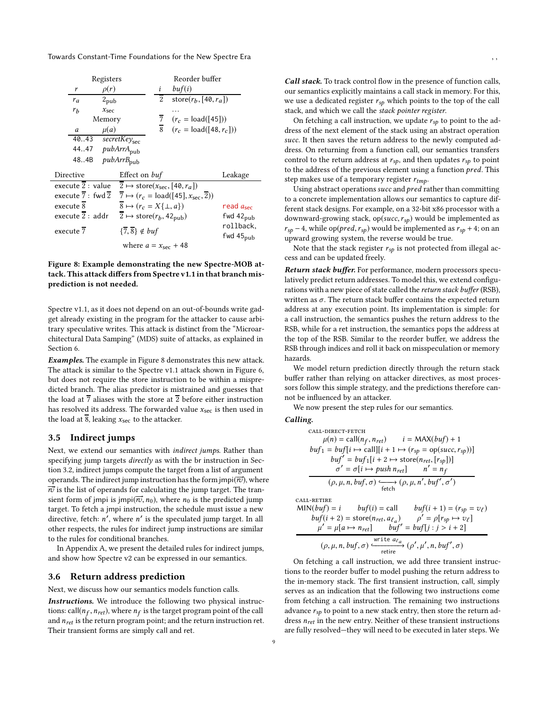<span id="page-8-2"></span>

|                                 | Registers                                  |               |                                                           |  |                 | Reorder buffer                                                                 |                                    |
|---------------------------------|--------------------------------------------|---------------|-----------------------------------------------------------|--|-----------------|--------------------------------------------------------------------------------|------------------------------------|
|                                 | r                                          | $\rho(r)$     |                                                           |  | i               | buf(i)                                                                         |                                    |
|                                 | $r_a$                                      | $2_{\rm pub}$ |                                                           |  | $\overline{2}$  | store $(r_h, \lceil 40, r_a \rceil)$                                           |                                    |
|                                 | r <sub>b</sub>                             | $x_{\rm sec}$ |                                                           |  |                 |                                                                                |                                    |
|                                 |                                            | Memory        |                                                           |  | $7\overline{ }$ | $(r_c = load([45]))$                                                           |                                    |
|                                 | a                                          | $\mu(a)$      |                                                           |  |                 | $\overline{8}$ $(r_c = \text{load}([48, r_c]))$                                |                                    |
|                                 | 40.43                                      |               | $\overline{\textit{secretKey}}_{\text{sec}}$              |  |                 |                                                                                |                                    |
|                                 | 4447 pubArrA <sub>pub</sub>                |               |                                                           |  |                 |                                                                                |                                    |
|                                 | 484B                                       |               | $pubArr B_{pub}$                                          |  |                 |                                                                                |                                    |
|                                 | Directive                                  |               | Effect on buf                                             |  |                 |                                                                                | Leakage                            |
|                                 | execute 2 : value                          |               |                                                           |  |                 | 2 $\mapsto$ store( $x_{\text{sec}}$ , [40, $r_a$ ])                            |                                    |
|                                 | execute $\overline{7}:$ fwd $\overline{2}$ |               |                                                           |  |                 | $\overline{7} \mapsto (r_c = \text{load}([45], x_{\text{sec}}, \overline{2}))$ |                                    |
|                                 | execute 8                                  |               | $8 \mapsto (r_c = X\{\perp, a\})$                         |  |                 |                                                                                | read $a_{sec}$                     |
|                                 | execute $\overline{2}$ : addr              |               | $\overline{2} \mapsto \text{store}(r_b, 42_{\text{pub}})$ |  |                 |                                                                                | fwd $42_{pub}$                     |
|                                 | execute 7                                  |               | $\{\overline{7},\overline{8}\}\notin{buf}$                |  |                 |                                                                                | rollback,<br>fwd 45 <sub>pub</sub> |
| where $a = x_{\text{sec}} + 48$ |                                            |               |                                                           |  |                 |                                                                                |                                    |

# Figure 8: Example demonstrating the new Spectre-MOB attack. This attack differs from Spectre v1.1 in that branch misprediction is not needed.

Spectre v1.1, as it does not depend on an out-of-bounds write gadget already existing in the program for the attacker to cause arbitrary speculative writes. This attack is distinct from the "Microarchitectural Data Samping" (MDS) suite of attacks, as explained in Section [6.](#page-11-0)

Examples. The example in Figure [8](#page-8-2) demonstrates this new attack. The attack is similar to the Spectre v1.1 attack shown in Figure [6,](#page-6-2) but does not require the store instruction to be within a mispredicted branch. The alias predictor is mistrained and guesses that the load at  $\overline{7}$  aliases with the store at  $\overline{2}$  before either instruction has resolved its address. The forwarded value  $x_{\text{sec}}$  is then used in the load at  $\overline{8}$ , leaking  $x_{\text{sec}}$  to the attacker.

#### <span id="page-8-0"></span>3.5 Indirect jumps

Next, we extend our semantics with *indirect jumps*. Rather than specifying jump targets directly as with the br instruction in Section [3.2,](#page-3-0) indirect jumps compute the target from a list of argument operands. The indirect jump instruction has the form jmpi $(\overline{\vec{r}\vec{v}})$ , where  $\overline{\vec{r}}\vec{v}$  is the list of operands for calculating the jump target. The transient form of jmpi is jmpi $(\overrightarrow{rv}, n_0)$ , where  $n_0$  is the predicted jump target. To fetch a jmpi instruction, the schedule must issue a new directive, fetch:  $n'$ , where  $n'$  is the speculated jump target. In all other respects, the rules for indirect jump instructions are similar to the rules for conditional branches.

In Appendix [A,](#page-13-1) we present the detailed rules for indirect jumps, and show how Spectre v2 can be expressed in our semantics.

# <span id="page-8-1"></span>3.6 Return address prediction

Next, we discuss how our semantics models function calls.

Instructions. We introduce the following two physical instructions: call( $n_f$ ,  $n_{ret}$ ), where  $n_f$  is the target program point of the call and  $n_{ret}$  is the return program point; and the return instruction ret. Their transient forms are simply call and ret.

Call stack. To track control flow in the presence of function calls, our semantics explicitly maintains a call stack in memory. For this, we use a dedicated register  $r_{sb}$  which points to the top of the call stack, and which we call the stack pointer register.

On fetching a call instruction, we update  $r_{s0}$  to point to the address of the next element of the stack using an abstract operation succ. It then saves the return address to the newly computed address. On returning from a function call, our semantics transfers control to the return address at  $r_{sp}$ , and then updates  $r_{sp}$  to point to the address of the previous element using a function pred. This step makes use of a temporary register  $r_{tmp}$ .

Using abstract operations succ and pred rather than committing to a concrete implementation allows our semantics to capture different stack designs. For example, on a 32-bit x86 processor with a downward-growing stack,  $op(succ, r_{sp})$  would be implemented as  $r_{sp}$  – 4, while op(*pred*,  $r_{sp}$ ) would be implemented as  $r_{sp}$  + 4; on an upward growing system, the reverse would be true.

Note that the stack register  $r_{sp}$  is not protected from illegal access and can be updated freely.

Return stack buffer. For performance, modern processors speculatively predict return addresses. To model this, we extend configurations with a new piece of state called the return stack buffer (RSB), written as  $\sigma$ . The return stack buffer contains the expected return address at any execution point. Its implementation is simple: for a call instruction, the semantics pushes the return address to the RSB, while for a ret instruction, the semantics pops the address at the top of the RSB. Similar to the reorder buffer, we address the RSB through indices and roll it back on misspeculation or memory hazards.

We model return prediction directly through the return stack buffer rather than relying on attacker directives, as most processors follow this simple strategy, and the predictions therefore cannot be influenced by an attacker.

We now present the step rules for our semantics.

Calling.

$$
cALL-DIRECT-FETCH
$$
  
\n
$$
μ(n) = call(nf, nref)
$$
  
\n
$$
buf_1 = buf[i \mapsto call][i + 1 \mapsto (rsp = op(succ, rsp))]
$$
  
\n
$$
buf' = buf_1[i + 2 \mapsto store(nref, [rsp])]
$$
  
\n
$$
σ' = σ[i \mapsto push nref]
$$
  
\n
$$
(ρ, μ, n, but f, σ) \xrightarrow{\epsilon}
$$
  
\n
$$
(ρ, μ, n', but f', σ')
$$

call-retire

$$
MIN(buf) = i \t but f(i) = call \t but f(i + 1) = (r_{sp} = v_{\ell})
$$
  
\n
$$
buf(i + 2) = store(n_{ret}, a_{\ell_a}) \t \rho' = \rho[r_{sp} \mapsto v_{\ell}]
$$
  
\n
$$
\mu' = \mu[a \mapsto n_{ret}] \t but f' = but f[j : j > i + 2]
$$
  
\n
$$
(\rho, \mu, n, but f, \sigma) \xleftarrow{\text{write } a_{\ell_a}} (\rho', \mu', n, but f', \sigma)
$$

On fetching a call instruction, we add three transient instructions to the reorder buffer to model pushing the return address to the in-memory stack. The first transient instruction, call, simply serves as an indication that the following two instructions come from fetching a call instruction. The remaining two instructions advance  $r_{sp}$  to point to a new stack entry, then store the return address  $n_{ret}$  in the new entry. Neither of these transient instructions are fully resolved—they will need to be executed in later steps. We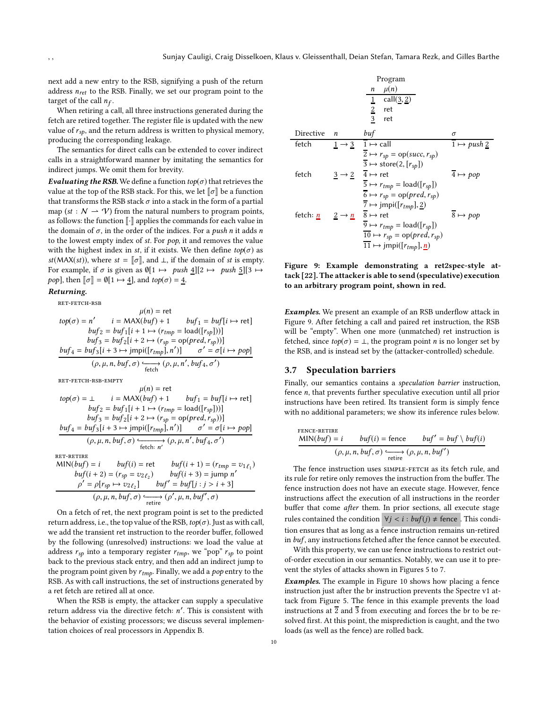next add a new entry to the RSB, signifying a push of the return address  $n_{ret}$  to the RSB. Finally, we set our program point to the target of the call  $n_f$ .

When retiring a call, all three instructions generated during the fetch are retired together. The register file is updated with the new value of  $r_{sp}$ , and the return address is written to physical memory, producing the corresponding leakage.

The semantics for direct calls can be extended to cover indirect calls in a straightforward manner by imitating the semantics for indirect jumps. We omit them for brevity.

Evaluating the RSB. We define a function  $top(\sigma)$  that retrieves the value at the top of the RSB stack. For this, we let  $\llbracket \sigma \rrbracket$  be a function that transforms the RSB stack  $\sigma$  into a stack in the form of a partial map (st :  $N \rightarrow V$ ) from the natural numbers to program points, as follows: the function  $\lbrack\! \lbrack \cdot \rbrack\! \rbrack$  applies the commands for each value in the domain of  $\sigma$ , in the order of the indices. For a *push n* it adds *n* to the lowest empty index of  $st$ . For  $pop$ , it and removes the value with the highest index in st, if it exists. We then define  $top(\sigma)$  as st(MAX(st)), where  $st = \llbracket \sigma \rrbracket$ , and  $\bot$ , if the domain of st is empty. For example, if  $\sigma$  is given as  $\varnothing[1 \mapsto push \underline{4}][2 \mapsto push \underline{5}][3 \mapsto$ *pop*], then  $\llbracket \sigma \rrbracket = \emptyset[1 \mapsto 4]$ , and  $top(\sigma) = 4$ .

#### Returning.

ret-fetch-rsb

$$
\mu(n) = \text{ret}
$$
  
\n
$$
top(\sigma) = n' \qquad i = \text{MAX}(buf) + 1 \qquad but f_1 = but [i \mapsto \text{ret}]
$$
  
\n
$$
buf_2 = buf_1[i + 1 \mapsto (r_{tmp} = \text{load}([r_{sp}]))]
$$
  
\n
$$
buf_3 = buf_2[i + 2 \mapsto (r_{sp} = \text{op}(pred, r_{sp}))]
$$
  
\n
$$
buf_4 = buf_3[i + 3 \mapsto jmpi([r_{tmp}], n')] \qquad \sigma' = \sigma[i \mapsto pop]
$$
  
\n
$$
(\rho, \mu, n, buf, \sigma) \xrightarrow{\epsilon} (\rho, \mu, n', buf_4, \sigma')
$$

ret-fetch-rsb-empty

$$
\mu(n) = \text{ret}
$$
\n
$$
top(\sigma) = \bot \qquad i = \text{MAX}(buf) + 1 \qquad but f_1 = but [i \mapsto \text{ret}]
$$
\n
$$
but f_2 = but f_1[i + 1 \mapsto (r_{tmp} = \text{load}([r_{sp}]))]
$$
\n
$$
but f_3 = but f_2[i + 2 \mapsto (r_{sp} = \text{op}(pred, r_{sp}))]
$$
\n
$$
\underline{but f_4 = but f_3[i + 3 \mapsto jmpi([r_{tmp}], n')] \qquad \sigma' = \sigma[i \mapsto pop]}
$$
\n
$$
(\rho, \mu, n, but f, \sigma) \xrightarrow{\epsilon} \underline{\text{feth}: n'} (\rho, \mu, n', but f_4, \sigma')
$$
\n
$$
REF-RETIME
$$

 $\sqrt{2}$ 

$$
\begin{aligned}\n\text{MIN}(buf) &= i & butf(i) &= \text{ret} & butf(i+1) &= (r_{tmp} = v_{1\ell_1}) \\
& butf(i+2) &= (r_{sp} = v_{2\ell_2}) & butf(i+3) &= jump \ n' \\
& \rho' = \rho[r_{sp} \leftrightarrow v_{2\ell_2}] & butf' &= but[f] \colon j > i+3] \\
& (\rho, \mu, n, butf, \sigma) & \xrightarrow{\text{retire}} (\rho', \mu, n, butf', \sigma)\n\end{aligned}
$$

On a fetch of ret, the next program point is set to the predicted return address, i.e., the top value of the RSB,  $top(\sigma)$ . Just as with call, we add the transient ret instruction to the reorder buffer, followed by the following (unresolved) instructions: we load the value at address  $r_{sp}$  into a temporary register  $r_{tmp}$ , we "pop"  $r_{sp}$  to point back to the previous stack entry, and then add an indirect jump to the program point given by  $r_{tmp}$ . Finally, we add a  $pop$  entry to the RSB. As with call instructions, the set of instructions generated by a ret fetch are retired all at once.

When the RSB is empty, the attacker can supply a speculative return address via the directive fetch: n ′ . This is consistent with the behavior of existing processors; we discuss several implementation choices of real processors in Appendix [B.](#page-13-2)

<span id="page-9-1"></span>

Figure 9: Example demonstrating a ret2spec-style attack [\[22\]](#page-12-12). The attacker is able to send (speculative) execution to an arbitrary program point, shown in red.

**Examples.** We present an example of an RSB underflow attack in Figure [9.](#page-9-1) After fetching a call and paired ret instruction, the RSB will be "empty". When one more (unmatched) ret instruction is fetched, since  $top(\sigma) = \bot$ , the program point *n* is no longer set by the RSB, and is instead set by the (attacker-controlled) schedule.

#### <span id="page-9-0"></span>3.7 Speculation barriers

Finally, our semantics contains a speculation barrier instruction, fence n, that prevents further speculative execution until all prior instructions have been retired. Its transient form is simply fence with no additional parameters; we show its inference rules below.

$$
\text{FENCE-RETIME}\n\frac{\text{MIN}(buf) = i \quad \quad \text{buf}(i) = \text{fence} \quad \quad \text{buf}' = \text{buf} \setminus \text{buf}(i)}{(\rho, \mu, n, \text{buf}, \sigma) \xrightarrow{\text{retire}} (\rho, \mu, n, \text{buf}')}
$$

The fence instruction uses SIMPLE-FETCH as its fetch rule, and its rule for retire only removes the instruction from the buffer. The fence instruction does not have an execute stage. However, fence instructions affect the execution of all instructions in the reorder buffer that come after them. In prior sections, all execute stage rules contained the condition  $\forall j < i : \text{buf}(j) \neq \text{fence}$  . This condition ensures that as long as a fence instruction remains un-retired in buf, any instructions fetched after the fence cannot be executed.

With this property, we can use fence instructions to restrict outof-order execution in our semantics. Notably, we can use it to prevent the styles of attacks shown in Figures [5](#page-6-1) to [7.](#page-6-3)

Examples. The example in Figure [10](#page-10-0) shows how placing a fence instruction just after the br instruction prevents the Spectre v1 attack from Figure [5.](#page-6-1) The fence in this example prevents the load instructions at  $\overline{2}$  and  $\overline{3}$  from executing and forces the br to be resolved first. At this point, the misprediction is caught, and the two loads (as well as the fence) are rolled back.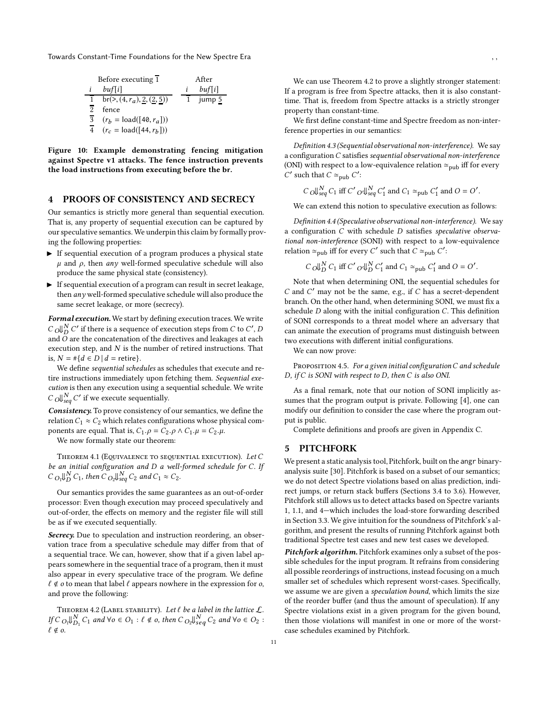<span id="page-10-0"></span>Before executing 
$$
\overline{1}
$$
 After  
\n $\underline{i}$   $buf[i]$  After  
\n $\overline{1}$   $br(>(), (4, r_a), 2, (2, 5))$   $\underline{i}$   $buf[i]$   
\n $\overline{2}$  fence  
\n $\overline{3}$   $(r_b = \text{load}([\overline{40}, r_a]))$   
\n $\overline{4}$   $(r_c = \text{load}([\overline{44}, r_b]))$ 

Figure 10: Example demonstrating fencing mitigation against Spectre v1 attacks. The fence instruction prevents the load instructions from executing before the br.

# <span id="page-10-2"></span>4 PROOFS OF CONSISTENCY AND SECRECY

Our semantics is strictly more general than sequential execution. That is, any property of sequential execution can be captured by our speculative semantics. We underpin this claim by formally proving the following properties:

- ▶ If sequential execution of a program produces a physical state  $\mu$  and  $\rho$ , then any well-formed speculative schedule will also produce the same physical state (consistency).
- ▶ If sequential execution of a program can result in secret leakage, then any well-formed speculative schedule will also produce the same secret leakage, or more (secrecy).

Formal execution. We start by defining execution traces. We write  $C$  ol ${}_{D}^{N}$  C' if there is a sequence of execution steps from C to C', D and  $\overline{O}$  are the concatenation of the directives and leakages at each execution step, and  $N$  is the number of retired instructions. That is, *N* = #{*d* ∈ *D* | *d* = retire}.

We define sequential schedules as schedules that execute and retire instructions immediately upon fetching them. Sequential execution is then any execution using a sequential schedule. We write  $C$   $\bigcup_{seq}^N C'$  if we execute sequentially.

Consistency. To prove consistency of our semantics, we define the relation  $C_1 \approx C_2$  which relates configurations whose physical components are equal. That is,  $C_1 \cdot \rho = C_2 \cdot \rho \wedge C_1 \cdot \mu = C_2 \cdot \mu$ .

We now formally state our theorem:

THEOREM 4.1 (EQUIVALENCE TO SEQUENTIAL EXECUTION). Let  $C$ be an initial configuration and D a well-formed schedule for C. If  $C_{O_1}\Downarrow_D^N C_1$ , then  $C_{O_2}\Downarrow_{seq}^N C_2$  and  $C_1 \approx C_2$ .

Our semantics provides the same guarantees as an out-of-order processor: Even though execution may proceed speculatively and out-of-order, the effects on memory and the register file will still be as if we executed sequentially.

Secrecy. Due to speculation and instruction reordering, an observation trace from a speculative schedule may differ from that of a sequential trace. We can, however, show that if a given label appears somewhere in the sequential trace of a program, then it must also appear in every speculative trace of the program. We define  $\ell \notin \sigma$  to mean that label  $\ell$  appears nowhere in the expression for  $\sigma$ , and prove the following:

<span id="page-10-1"></span>THEOREM 4.2 (LABEL STABILITY). Let  $\ell$  be a label in the lattice  $\mathcal{L}$ . If  $C$   $_{Q_1}\big\downarrow_{D_1}^N$   $C_1$  and  $\forall o \in O_1 : \ell \notin o$ , then  $C$   $_{Q_2}\big\downarrow_{seq}^N$   $C_2$  and  $\forall o \in O_2 :$  $\ell \notin o$ .

We can use Theorem [4.2](#page-10-1) to prove a slightly stronger statement: If a program is free from Spectre attacks, then it is also constanttime. That is, freedom from Spectre attacks is a strictly stronger property than constant-time.

We first define constant-time and Spectre freedom as non-interference properties in our semantics:

Definition 4.3 (Sequential observational non-interference). We say a configuration C satisfies sequential observational non-interference (ONI) with respect to a low-equivalence relation  $\simeq_{\text{pub}}$  iff for every C' such that  $C \simeq_{\text{pub}} C'$ :

$$
C_0 \cup_{seq}^N C_1
$$
 iff  $C'_0 \cup_{seq}^N C'_1$  and  $C_1 \simeq_{pub} C'_1$  and  $O = O'$ .

We can extend this notion to speculative execution as follows:

Definition 4.4 (Speculative observational non-interference). We say a configuration C with schedule D satisfies speculative observational non-interference (SONI) with respect to a low-equivalence relation  $\simeq_{\text{pub}}$  iff for every C' such that  $C \simeq_{\text{pub}} C'$ :

$$
C \bigcup_{D}^{N} C_1
$$
 iff  $C' O \bigcup_{D}^{N} C'_1$  and  $C_1 \simeq_{\text{pub}} C'_1$  and  $O = O'$ .

Note that when determining ONI, the sequential schedules for C and C ′ may not be the same, e.g., if C has a secret-dependent branch. On the other hand, when determining SONI, we must fix a schedule  $D$  along with the initial configuration  $C$ . This definition of SONI corresponds to a threat model where an adversary that can animate the execution of programs must distinguish between two executions with different initial configurations.

We can now prove:

PROPOSITION 4.5. For a given initial configuration C and schedule D, if C is SONI with respect to D, then C is also ONI.

As a final remark, note that our notion of SONI implicitly assumes that the program output is private. Following [\[4\]](#page-12-21), one can modify our definition to consider the case where the program output is public.

Complete definitions and proofs are given in Appendix [C.](#page-14-0)

#### <span id="page-10-3"></span>5 PITCHFORK

We present a static analysis tool, Pitchfork, built on the angr binaryanalysis suite [\[30\]](#page-12-22). Pitchfork is based on a subset of our semantics; we do not detect Spectre violations based on alias prediction, indirect jumps, or return stack buffers (Sections [3.4](#page-6-0) to [3.6\)](#page-8-1). However, Pitchfork still allows us to detect attacks based on Spectre variants 1, 1.1, and 4—which includes the load-store forwarding described in Section [3.3.](#page-4-0) We give intuition for the soundness of Pitchfork's algorithm, and present the results of running Pitchfork against both traditional Spectre test cases and new test cases we developed.

Pitchfork algorithm. Pitchfork examines only a subset of the possible schedules for the input program. It refrains from considering all possible reorderings of instructions, instead focusing on a much smaller set of schedules which represent worst-cases. Specifically, we assume we are given a speculation bound, which limits the size of the reorder buffer (and thus the amount of speculation). If any Spectre violations exist in a given program for the given bound, then those violations will manifest in one or more of the worstcase schedules examined by Pitchfork.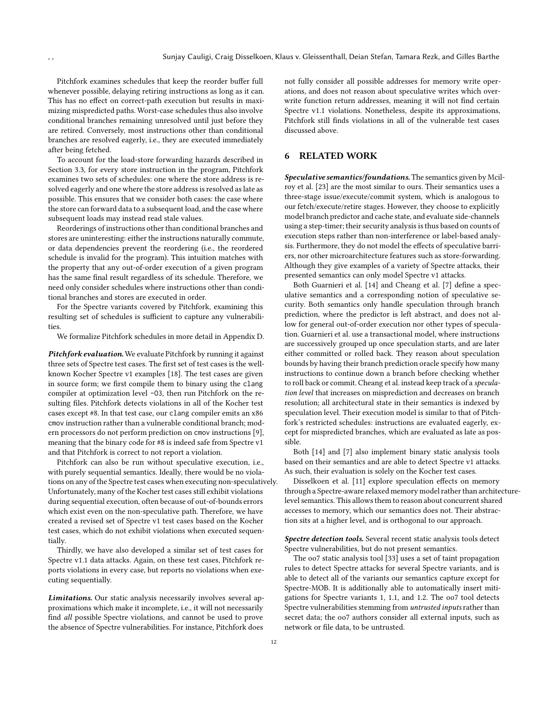Pitchfork examines schedules that keep the reorder buffer full whenever possible, delaying retiring instructions as long as it can. This has no effect on correct-path execution but results in maximizing mispredicted paths. Worst-case schedules thus also involve conditional branches remaining unresolved until just before they are retired. Conversely, most instructions other than conditional branches are resolved eagerly, i.e., they are executed immediately after being fetched.

To account for the load-store forwarding hazards described in Section [3.3,](#page-4-0) for every store instruction in the program, Pitchfork examines two sets of schedules: one where the store address is resolved eagerly and one where the store address is resolved as late as possible. This ensures that we consider both cases: the case where the store can forward data to a subsequent load, and the case where subsequent loads may instead read stale values.

Reorderings of instructions other than conditional branches and stores are uninteresting: either the instructions naturally commute, or data dependencies prevent the reordering (i.e., the reordered schedule is invalid for the program). This intuition matches with the property that any out-of-order execution of a given program has the same final result regardless of its schedule. Therefore, we need only consider schedules where instructions other than conditional branches and stores are executed in order.

For the Spectre variants covered by Pitchfork, examining this resulting set of schedules is sufficient to capture any vulnerabilities.

We formalize Pitchfork schedules in more detail in Appendix [D.](#page-16-0)

Pitchfork evaluation. We evaluate Pitchfork by running it against three sets of Spectre test cases. The first set of test cases is the wellknown Kocher Spectre v1 examples [\[18\]](#page-12-9). The test cases are given in source form; we first compile them to binary using the clang compiler at optimization level -O3, then run Pitchfork on the resulting files. Pitchfork detects violations in all of the Kocher test cases except #8. In that test case, our clang compiler emits an x86 cmov instruction rather than a vulnerable conditional branch; modern processors do not perform prediction on cmov instructions [\[9\]](#page-12-23), meaning that the binary code for #8 is indeed safe from Spectre v1 and that Pitchfork is correct to not report a violation.

Pitchfork can also be run without speculative execution, i.e., with purely sequential semantics. Ideally, there would be no violations on any of the Spectre test cases when executing non-speculatively. Unfortunately, many of the Kocher test cases still exhibit violations during sequential execution, often because of out-of-bounds errors which exist even on the non-speculative path. Therefore, we have created a revised set of Spectre v1 test cases based on the Kocher test cases, which do not exhibit violations when executed sequentially.

Thirdly, we have also developed a similar set of test cases for Spectre v1.1 data attacks. Again, on these test cases, Pitchfork reports violations in every case, but reports no violations when executing sequentially.

Limitations. Our static analysis necessarily involves several approximations which make it incomplete, i.e., it will not necessarily find all possible Spectre violations, and cannot be used to prove the absence of Spectre vulnerabilities. For instance, Pitchfork does not fully consider all possible addresses for memory write operations, and does not reason about speculative writes which overwrite function return addresses, meaning it will not find certain Spectre v1.1 violations. Nonetheless, despite its approximations, Pitchfork still finds violations in all of the vulnerable test cases discussed above.

#### <span id="page-11-0"></span>6 RELATED WORK

Speculative semantics/foundations. The semantics given by Mcilroy et al. [\[23](#page-12-15)] are the most similar to ours. Their semantics uses a three-stage issue/execute/commit system, which is analogous to our fetch/execute/retire stages. However, they choose to explicitly model branch predictor and cache state, and evaluate side-channels using a step-timer; their security analysis is thus based on counts of execution steps rather than non-interference or label-based analysis. Furthermore, they do not model the effects of speculative barriers, nor other microarchitecture features such as store-forwarding. Although they give examples of a variety of Spectre attacks, their presented semantics can only model Spectre v1 attacks.

Both Guarnieri et al. [\[14\]](#page-12-24) and Cheang et al. [\[7\]](#page-12-25) define a speculative semantics and a corresponding notion of speculative security. Both semantics only handle speculation through branch prediction, where the predictor is left abstract, and does not allow for general out-of-order execution nor other types of speculation. Guarnieri et al. use a transactional model, where instructions are successively grouped up once speculation starts, and are later either committed or rolled back. They reason about speculation bounds by having their branch prediction oracle specify how many instructions to continue down a branch before checking whether to roll back or commit. Cheang et al. instead keep track of a speculation level that increases on misprediction and decreases on branch resolution; all architectural state in their semantics is indexed by speculation level. Their execution model is similar to that of Pitchfork's restricted schedules: instructions are evaluated eagerly, except for mispredicted branches, which are evaluated as late as possible.

Both [\[14](#page-12-24)] and [\[7\]](#page-12-25) also implement binary static analysis tools based on their semantics and are able to detect Spectre v1 attacks. As such, their evaluation is solely on the Kocher test cases.

Disselkoen et al. [\[11](#page-12-26)] explore speculation effects on memory through a Spectre-aware relaxed memory model rather than architecturelevel semantics. This allows them to reason about concurrent shared accesses to memory, which our semantics does not. Their abstraction sits at a higher level, and is orthogonal to our approach.

Spectre detection tools. Several recent static analysis tools detect Spectre vulnerabilities, but do not present semantics.

The oo7 static analysis tool [\[33\]](#page-13-3) uses a set of taint propagation rules to detect Spectre attacks for several Spectre variants, and is able to detect all of the variants our semantics capture except for Spectre-MOB. It is additionally able to automatically insert mitigations for Spectre variants 1, 1.1, and 1.2. The oo7 tool detects Spectre vulnerabilities stemming from untrusted inputs rather than secret data; the oo7 authors consider all external inputs, such as network or file data, to be untrusted.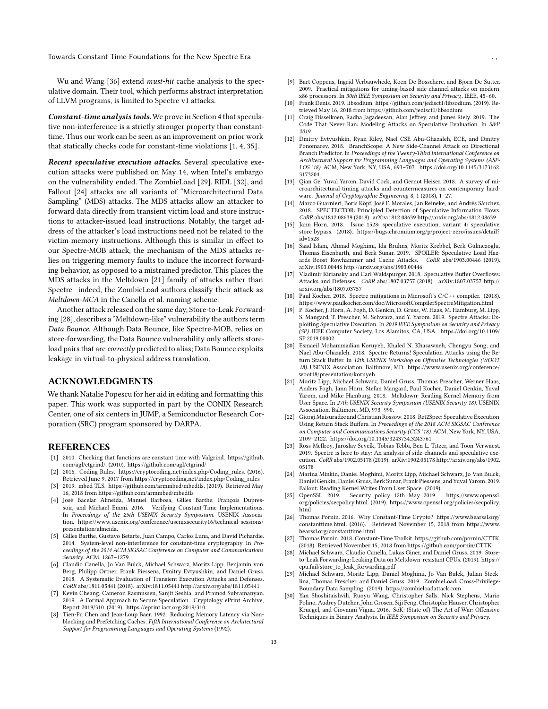Wu and Wang [\[36\]](#page-13-4) extend must-hit cache analysis to the speculative domain. Their tool, which performs abstract interpretation of LLVM programs, is limited to Spectre v1 attacks.

Constant-time analysis tools. We prove in Section [4 t](#page-10-2)hat speculative non-interference is a strictly stronger property than constanttime. Thus our work can be seen as an improvement on prior work that statically checks code for constant-time violations [\[1,](#page-12-27) [4,](#page-12-21) [35](#page-13-5)].

Recent speculative execution attacks. Several speculative execution attacks were published on May 14, when Intel's embargo on the vulnerability ended. The ZombieLoad [\[29](#page-12-28)], RIDL [\[32\]](#page-13-6), and Fallout [\[24](#page-12-29)] attacks are all variants of "Microarchitectural Data Sampling" (MDS) attacks. The MDS attacks allow an attacker to forward data directly from transient victim load and store instructions to attacker-issued load instructions. Notably, the target address of the attacker's load instructions need not be related to the victim memory instructions. Although this is similar in effect to our Spectre-MOB attack, the mechanism of the MDS attacks relies on triggering memory faults to induce the incorrect forwarding behavior, as opposed to a mistrained predictor. This places the MDS attacks in the Meltdown [\[21](#page-12-14)] family of attacks rather than Spectre—indeed, the ZombieLoad authors classify their attack as Meltdown-MCA in the Canella et al. naming scheme.

Another attack released on the same day, Store-to-Leak Forwarding [\[28\]](#page-12-20), describes a "Meltdown-like" vulnerability the authors term Data Bounce. Although Data Bounce, like Spectre-MOB, relies on store-forwarding, the Data Bounce vulnerability only affects storeload pairs that are correctly predicted to alias; Data Bounce exploits leakage in virtual-to-physical address translation.

#### ACKNOWLEDGMENTS

We thank Natalie Popescu for her aid in editing and formatting this paper. This work was supported in part by the CONIX Research Center, one of six centers in JUMP, a Semiconductor Research Corporation (SRC) program sponsored by DARPA.

#### REFERENCES

- <span id="page-12-27"></span>[1] 2010. Checking that functions are constant time with Valgrind. [https://github.](https://github.com/agl/ctgrind/) [com/agl/ctgrind/.](https://github.com/agl/ctgrind/) (2010).<https://github.com/agl/ctgrind/>
- <span id="page-12-1"></span>[2] 2016. Coding Rules. [https://cryptocoding.net/index.php/Coding\\_rules.](https://cryptocoding.net/index.php/Coding_rules) (2016). Retrieved June 9, 2017 from [https://cryptocoding.net/index.php/Coding\\_rules](https://cryptocoding.net/index.php/Coding_rules)
- <span id="page-12-2"></span>[3] 2019. mbed TLS. [https://github.com/armmbed/mbedtls.](https://github.com/armmbed/mbedtls) (2019). Retrieved May 16, 2018 from<https://github.com/armmbed/mbedtls>
- <span id="page-12-21"></span>[4] José Bacelar Almeida, Manuel Barbosa, Gilles Barthe, François Dupressoir, and Michael Emmi. 2016. Verifying Constant-Time Implementations. In Proceedings of the 25th USENIX Security Symposium. USENIX Association. [https://www.usenix.org/conference/usenixsecurity16/technical-sessions/](https://www.usenix.org/conference/usenixsecurity16/technical-sessions/presentation/almeida) [presentation/almeida.](https://www.usenix.org/conference/usenixsecurity16/technical-sessions/presentation/almeida)
- <span id="page-12-6"></span>[5] Gilles Barthe, Gustavo Betarte, Juan Campo, Carlos Luna, and David Pichardie. 2014. System-level non-interference for constant-time cryptography. In Proceedings of the 2014 ACM SIGSAC Conference on Computer and Communications Security. ACM, 1267-1279.
- <span id="page-12-8"></span>[6] Claudio Canella, Jo Van Bulck, Michael Schwarz, Moritz Lipp, Benjamin von Berg, Philipp Ortner, Frank Piessens, Dmitry Evtyushkin, and Daniel Gruss. 2018. A Systematic Evaluation of Transient Execution Attacks and Defenses. CoRR abs/1811.05441 (2018). arXiv[:1811.05441 http://arxiv.org/abs/1811.05441](http://arxiv.org/abs/1811.05441)
- <span id="page-12-25"></span>[7] Kevin Cheang, Cameron Rasmussen, Sanjit Seshia, and Pramod Subramanyan. 2019. A Formal Approach to Secure Speculation. Cryptology ePrint Archive, Report 2019/310. (2019). [https://eprint.iacr.org/2019/310.](https://eprint.iacr.org/2019/310)
- <span id="page-12-18"></span>[8] Tien-Fu Chen and Jean-Loup Baer. 1992. Reducing Memory Latency via Nonblocking and Prefetching Caches. Fifth International Conference on Architectural Support for Programming Languages and Operating Systems (1992).
- <span id="page-12-23"></span>[9] Bart Coppens, Ingrid Verbauwhede, Koen De Bosschere, and Bjorn De Sutter. 2009. Practical mitigations for timing-based side-channel attacks on modern x86 processors. In 30th IEEE Symposium on Security and Privacy,. IEEE, 45–60.
- <span id="page-12-3"></span>[10] Frank Denis. 2019. libsodium. [https://github.com/jedisct1/libsodium.](https://github.com/jedisct1/libsodium) (2019). Retrieved May 16, 2018 from<https://github.com/jedisct1/libsodium>
- <span id="page-12-26"></span>[11] Craig Disselkoen, Radha Jagadeesan, Alan Jeffrey, and James Riely. 2019. The Code That Never Ran: Modeling Attacks on Speculative Evaluation. In S&P 2019.
- <span id="page-12-16"></span>[12] Dmitry Evtyushkin, Ryan Riley, Nael CSE Abu-Ghazaleh, ECE, and Dmitry Ponomarev. 2018. BranchScope: A New Side-Channel Attack on Directional Branch Predictor. In Proceedings of the Twenty-Third International Conference on Architectural Support for Programming Languages and Operating Systems (ASP-LOS '18). ACM, New York, NY, USA, 693–707. [https://doi.org/10.1145/3173162.](https://doi.org/10.1145/3173162.3173204) [3173204](https://doi.org/10.1145/3173162.3173204)
- <span id="page-12-0"></span>[13] Qian Ge, Yuval Yarom, David Cock, and Gernot Heiser. 2018. A survey of microarchitectural timing attacks and countermeasures on contemporary hardware. Journal of Cryptographic Engineering 8, 1 (2018), 1–27.
- <span id="page-12-24"></span>[14] Marco Guarnieri, Boris Köpf, José F. Morales, Jan Reineke, and Andrés Sánchez. 2018. SPECTECTOR: Principled Detection of Speculative Information Flows. CoRR abs/1812.08639 (2018). arXiv[:1812.08639 http://arxiv.org/abs/1812.08639](http://arxiv.org/abs/1812.08639)
- <span id="page-12-17"></span>[15] Jann Horn. 2018. Issue 1528: speculative execution, variant 4: speculative store bypass. (2018). [https://bugs.chromium.org/p/project-zero/issues/detail?](https://bugs.chromium.org/p/project-zero/issues/detail?id=1528) [id=1528](https://bugs.chromium.org/p/project-zero/issues/detail?id=1528)
- <span id="page-12-19"></span>[16] Saad Islam, Ahmad Moghimi, Ida Bruhns, Moritz Krebbel, Berk Gülmezoglu, Thomas Eisenbarth, and Berk Sunar. 2019. SPOILER: Speculative Load Haz-<br>ards Boost Rowhammer and Cache Attacks. CoRR abs/1903.00446 (2019). ards Boost Rowhammer and Cache Attacks. arXiv[:1903.00446 http://arxiv.org/abs/1903.00446](http://arxiv.org/abs/1903.00446)
- <span id="page-12-13"></span>[17] Vladimir Kiriansky and Carl Waldspurger. 2018. Speculative Buffer Overflows: Attacks and Defenses. CoRR abs/1807.03757 (2018). arXiv[:1807.03757 http://](http://arxiv.org/abs/1807.03757) [arxiv.org/abs/1807.03757](http://arxiv.org/abs/1807.03757)
- <span id="page-12-9"></span>[18] Paul Kocher. 2018. Spectre mitigations in Microsoft's C/C++ compiler. (2018). <https://www.paulkocher.com/doc/MicrosoftCompilerSpectreMitigation.html>
- <span id="page-12-10"></span>[19] P. Kocher, J. Horn, A. Fogh, D. Genkin, D. Gruss, W. Haas, M. Hamburg, M. Lipp, S. Mangard, T. Prescher, M. Schwarz, and Y. Yarom. 2019. Spectre Attacks: Exploiting Speculative Execution. In 2019 IEEE Symposium on Security and Privacy (SP). IEEE Computer Society, Los Alamitos, CA, USA. [https://doi.org/10.1109/](https://doi.org/10.1109/SP.2019.00002) [SP.2019.00002](https://doi.org/10.1109/SP.2019.00002)
- <span id="page-12-11"></span>[20] Esmaeil Mohammadian Koruyeh, Khaled N. Khasawneh, Chengyu Song, and Nael Abu-Ghazaleh. 2018. Spectre Returns! Speculation Attacks using the Return Stack Buffer. In 12th USENIX Workshop on Offensive Technologies (WOOT 18). USENIX Association, Baltimore, MD. [https://www.usenix.org/conference/](https://www.usenix.org/conference/woot18/presentation/koruyeh) [woot18/presentation/koruyeh](https://www.usenix.org/conference/woot18/presentation/koruyeh)
- <span id="page-12-14"></span>[21] Moritz Lipp, Michael Schwarz, Daniel Gruss, Thomas Prescher, Werner Haas, Anders Fogh, Jann Horn, Stefan Mangard, Paul Kocher, Daniel Genkin, Yuval Yarom, and Mike Hamburg. 2018. Meltdown: Reading Kernel Memory from User Space. In 27th USENIX Security Symposium (USENIX Security 18). USENIX Association, Baltimore, MD, 973–990.
- <span id="page-12-12"></span>[22] Giorgi Maisuradze and Christian Rossow. 2018. Ret2Spec: Speculative Execution Using Return Stack Buffers. In Proceedings of the 2018 ACM SIGSAC Conference on Computer and Communications Security (CCS '18). ACM, New York, NY, USA, 2109–2122.<https://doi.org/10.1145/3243734.3243761>
- <span id="page-12-15"></span>[23] Ross McIlroy, Jaroslav Sevcík, Tobias Tebbi, Ben L. Titzer, and Toon Verwaest. 2019. Spectre is here to stay: An analysis of side-channels and speculative execution. CoRR abs/1902.05178 (2019). arXiv[:1902.05178 http://arxiv.org/abs/1902.](http://arxiv.org/abs/1902.05178) [05178](http://arxiv.org/abs/1902.05178)
- <span id="page-12-29"></span>[24] Marina Minkin, Daniel Moghimi, Moritz Lipp, Michael Schwarz, Jo Van Bulck, Daniel Genkin, Daniel Gruss, Berk Sunar, Frank Piessens, and Yuval Yarom. 2019. Fallout: Reading Kernel Writes From User Space. (2019).
- <span id="page-12-7"></span>Security policy 12th May 2019. [https://www.openssl.](https://www.openssl.org/policies/secpolicy.html) [org/policies/secpolicy.html.](https://www.openssl.org/policies/secpolicy.html) (2019). [https://www.openssl.org/policies/secpolicy.](https://www.openssl.org/policies/secpolicy.html) [html](https://www.openssl.org/policies/secpolicy.html)
- <span id="page-12-4"></span>[26] Thomas Pornin. 2016. Why Constant-Time Crypto? [https://www.bearssl.org/](https://www.bearssl.org/constanttime.html) [constanttime.html.](https://www.bearssl.org/constanttime.html) (2016). Retrieved November 15, 2018 from [https://www.](https://www.bearssl.org/constanttime.html) [bearssl.org/constanttime.html](https://www.bearssl.org/constanttime.html)
- <span id="page-12-5"></span>[27] Thomas Pornin. 2018. Constant-Time Toolkit. [https://github.com/pornin/CTTK.](https://github.com/pornin/CTTK) (2018). Retrieved November 15, 2018 from<https://github.com/pornin/CTTK>
- <span id="page-12-20"></span>[28] Michael Schwarz, Claudio Canella, Lukas Giner, and Daniel Gruss. 2019. Store to-Leak Forwarding: Leaking Data on Meltdown-resistant CPUs. (2019). [https://](https://cpu.fail/store_to_leak_forwarding.pdf) [cpu.fail/store\\_to\\_leak\\_forwarding.pdf](https://cpu.fail/store_to_leak_forwarding.pdf)
- <span id="page-12-28"></span>[29] Michael Schwarz, Moritz Lipp, Daniel Moghimi, Jo Van Bulck, Julian Stecklina, Thomas Prescher, and Daniel Gruss. 2019. ZombieLoad: Cross-Privilege-Boundary Data Sampling. (2019).<https://zombieloadattack.com>
- <span id="page-12-22"></span>[30] Yan Shoshitaishvili, Ruoyu Wang, Christopher Salls, Nick Stephens, Mario Polino, Audrey Dutcher, John Grosen, Siji Feng, Christophe Hauser, Christopher Kruegel, and Giovanni Vigna. 2016. SoK: (State of) The Art of War: Offensive Techniques in Binary Analysis. In IEEE Symposium on Security and Privacy.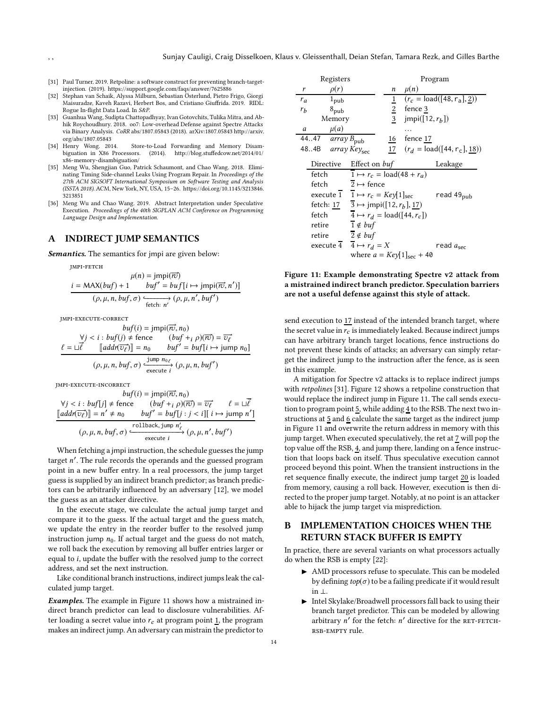- <span id="page-13-8"></span>[31] Paul Turner. 2019. Retpoline: a software construct for preventing branch-targetinjection. (2019).<https://support.google.com/faqs/answer/7625886>
- <span id="page-13-6"></span>[32] Stephan van Schaik, Alyssa Milburn, Sebastian Österlund, Pietro Frigo, Giorgi Maisuradze, Kaveh Razavi, Herbert Bos, and Cristiano Giuffrida. 2019. RIDL: Rogue In-flight Data Load. In S&P.
- <span id="page-13-3"></span>[33] Guanhua Wang, Sudipta Chattopadhyay, Ivan Gotovchits, Tulika Mitra, and Abhik Roychoudhury. 2018. oo7: Low-overhead Defense against Spectre Attacks via Binary Analysis. CoRR abs/1807.05843 (2018). arXiv[:1807.05843 http://arxiv.](http://arxiv.org/abs/1807.05843)
- <span id="page-13-0"></span>[org/abs/1807.05843](http://arxiv.org/abs/1807.05843)<br>[34] Henry Wong. 2014. Henry Wong. 2014. Store-to-Load Forwarding and Memory Disam-<br>biguation in X86 Processors. (2014). http://blog.stuffedcow.net/2014/01/ (2014). [http://blog.stuffedcow.net/2014/01/](http://blog.stuffedcow.net/2014/01/x86-memory-disambiguation/) [x86-memory-disambiguation/](http://blog.stuffedcow.net/2014/01/x86-memory-disambiguation/)
- <span id="page-13-5"></span>[35] Meng Wu, Shengjian Guo, Patrick Schaumont, and Chao Wang. 2018. Eliminating Timing Side-channel Leaks Using Program Repair. In Proceedings of the 27th ACM SIGSOFT International Symposium on Software Testing and Analysis (ISSTA 2018). ACM, New York, NY, USA, 15–26. [https://doi.org/10.1145/3213846.](https://doi.org/10.1145/3213846.3213851) [3213851](https://doi.org/10.1145/3213846.3213851)
- <span id="page-13-4"></span>[36] Meng Wu and Chao Wang. 2019. Abstract Interpretation under Speculative Execution. Proceedings of the 40th SIGPLAN ACM Conference on Programming Language Design and Implementation.

## <span id="page-13-1"></span>A INDIRECT JUMP SEMANTICS

Semantics. The semantics for jmpi are given below:

jmpi-fetch

$$
\mu(n) = \text{jmpi}(\overrightarrow{rv})
$$
  

$$
\frac{i = \text{MAX}(buf) + 1 \quad buf' = \text{buf}[i \mapsto \text{jmpi}(\overrightarrow{rv}, n')]}{(p, \mu, n, \text{buf}, \sigma) \xrightarrow{\epsilon_{\text{fetch}: n'}} (p, \mu, n', \text{buf'})}
$$

jmpi-execute-correct

$$
buf(i) = jmpi(\overrightarrow{ro}, n_0)
$$
  
\n
$$
\forall j < i : but f(j) \neq \text{fence} \qquad (buf + i \rho)(\overrightarrow{ro}) = \overrightarrow{v_{\ell}}
$$
  
\n
$$
\ell = \Box \overrightarrow{\ell} \qquad [add(\overrightarrow{v_{\ell}})] = n_0 \qquad but' = but[i \rightarrow jump \ n_0]
$$
  
\n
$$
(\rho, \mu, n, but f, \sigma) \xleftarrow{\text{jump } n_0 \ell} {\text{execute } i} (\rho, \mu, n, but')
$$

jmpi-execute-incorrect

 $buf(i) = jmpi(\overrightarrow{rv}, n_0)$  $\forall j < i : \text{buf}[j] \neq \text{fence}$  $(buf + i \rho)(\overrightarrow{rv}) = \overrightarrow{v_{\ell}}$  $\overrightarrow{v_{\ell}}$   $\ell = \sqcup \vec{\ell}$  $\llbracket addr(\overrightarrow{v_{\ell}})\rrbracket = n$  $j' \neq n_0$   $buf' = buf[j : j < i][i \mapsto jump n']$  $(\rho, \mu, n, but, \sigma) \xrightarrow{\text{rollback, jump } n'_{\ell}} (\rho, \mu, n', but')$ 

When fetching a jmpi instruction, the schedule guesses the jump target n ′ . The rule records the operands and the guessed program point in a new buffer entry. In a real processors, the jump target guess is supplied by an indirect branch predictor; as branch predictors can be arbitrarily influenced by an adversary [\[12\]](#page-12-16), we model the guess as an attacker directive.

In the execute stage, we calculate the actual jump target and compare it to the guess. If the actual target and the guess match, we update the entry in the reorder buffer to the resolved jump instruction jump  $n_0$ . If actual target and the guess do not match, we roll back the execution by removing all buffer entries larger or equal to i, update the buffer with the resolved jump to the correct address, and set the next instruction.

Like conditional branch instructions, indirect jumps leak the calculated jump target.

Examples. The example in Figure [11](#page-13-7) shows how a mistrained indirect branch predictor can lead to disclosure vulnerabilities. After loading a secret value into  $r_c$  at program point  $\frac{1}{1}$ , the program makes an indirect jump. An adversary can mistrain the predictor to

<span id="page-13-7"></span>

| Registers                                    |           |                                     |                                                     |                 | Program                                 |                               |
|----------------------------------------------|-----------|-------------------------------------|-----------------------------------------------------|-----------------|-----------------------------------------|-------------------------------|
| r                                            |           | $\rho(r)$                           |                                                     | n               | $\mu(n)$                                |                               |
| $r_a$                                        |           | $1_{pub}$                           |                                                     | $\underline{1}$ |                                         | $(r_c = load([48, r_a], 2))$  |
| $r_b$                                        |           | $8_{\text{pub}}$                    |                                                     | $rac{2}{3}$     | fence 3                                 |                               |
|                                              |           | Memory                              |                                                     |                 | jmpi([12, $r_b$ ])                      |                               |
| a                                            |           | $\mu(a)$                            |                                                     |                 |                                         |                               |
|                                              | 4447      | $\overline{array}$ $B_{\text{pub}}$ |                                                     | 16              | fence 17                                |                               |
|                                              | 484B      |                                     | array Key <sub>sec</sub>                            | 17              |                                         | $(r_d = load([44, r_c], 18))$ |
|                                              | Directive |                                     | Effect on buf                                       |                 |                                         | Leakage                       |
|                                              | fetch     |                                     |                                                     |                 | $1 \mapsto r_c = \text{load}(48 + r_a)$ |                               |
|                                              | fetch     |                                     | $2 \mapsto$ fence                                   |                 |                                         |                               |
|                                              |           | execute 1                           | $1 \mapsto r_c = \frac{Key}{1 sec}$                 |                 |                                         | read 49 <sub>pub</sub>        |
|                                              |           | fetch: 17                           | $\overline{3} \mapsto \text{jmpi}([12, r_b], 17)$   |                 |                                         |                               |
| fetch                                        |           |                                     | $\overline{4} \mapsto r_d = \text{load}([44, r_c])$ |                 |                                         |                               |
| $1 \notin \mathit{buf}$<br>retire            |           |                                     |                                                     |                 |                                         |                               |
| $\overline{2} \notin \mathit{buf}$<br>retire |           |                                     |                                                     |                 |                                         |                               |
| execute $\overline{4}$ $4 \mapsto r_d = X$   |           |                                     |                                                     |                 | read $a_{\rm sec}$                      |                               |
|                                              |           |                                     |                                                     |                 | where $a = Key[1]_{sec} + 40$           |                               |

Figure 11: Example demonstrating Spectre v2 attack from a mistrained indirect branch predictor. Speculation barriers are not a useful defense against this style of attack.

send execution to 17 instead of the intended branch target, where the secret value in  $r_c$  is immediately leaked. Because indirect jumps can have arbitrary branch target locations, fence instructions do not prevent these kinds of attacks; an adversary can simply retarget the indirect jump to the instruction after the fence, as is seen in this example.

A mitigation for Spectre v2 attacks is to replace indirect jumps with retpolines [\[31\]](#page-13-8). Figure [12](#page-14-1) shows a retpoline construction that would replace the indirect jump in Figure [11.](#page-13-7) The call sends execution to program point  $\underline{5}$ , while adding  $\underline{4}$  to the RSB. The next two instructions at 5 and 6 calculate the same target as the indirect jump in Figure [11](#page-13-7) and overwrite the return address in memory with this jump target. When executed speculatively, the ret at 7 will pop the top value off the RSB, 4, and jump there, landing on a fence instruction that loops back on itself. Thus speculative execution cannot proceed beyond this point. When the transient instructions in the ret sequence finally execute, the indirect jump target 20 is loaded from memory, causing a roll back. However, execution is then directed to the proper jump target. Notably, at no point is an attacker able to hijack the jump target via misprediction.

# <span id="page-13-2"></span>B IMPLEMENTATION CHOICES WHEN THE RETURN STACK BUFFER IS EMPTY

In practice, there are several variants on what processors actually do when the RSB is empty [\[22](#page-12-12)]:

- ▶ AMD processors refuse to speculate. This can be modeled by defining  $top(\sigma)$  to be a failing predicate if it would result in ⊥.
- ▶ Intel Skylake/Broadwell processors fall back to using their branch target predictor. This can be modeled by allowing arbitrary  $n'$  for the fetch:  $n'$  directive for the RET-FETCHrsb-empty rule.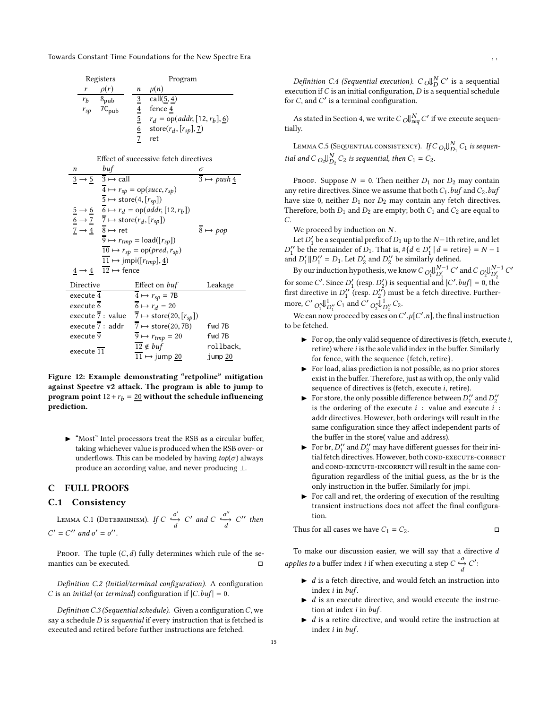<span id="page-14-1"></span>

|          | Registers        |   | Program                                   |  |  |  |
|----------|------------------|---|-------------------------------------------|--|--|--|
|          | $\rho(r)$        | n | $\mu(n)$                                  |  |  |  |
| $r_b$    | $8_{\text{pub}}$ |   | call(5, 4)                                |  |  |  |
| $r_{sp}$ | $7C_{pub}$       |   | fence 4                                   |  |  |  |
|          |                  | 5 | $r_d =$ op(addr, [12, $r_b$ ], <u>6</u> ) |  |  |  |
|          |                  | 6 | store $(r_d, [r_{sp}], 7)$                |  |  |  |
|          |                  |   | ret                                       |  |  |  |

| Effect of successive fetch directives |                                                                  |                                                                                                                                                                     |                            |  |  |  |  |
|---------------------------------------|------------------------------------------------------------------|---------------------------------------------------------------------------------------------------------------------------------------------------------------------|----------------------------|--|--|--|--|
| n                                     | buf                                                              |                                                                                                                                                                     | σ                          |  |  |  |  |
|                                       | $\frac{3}{2} \rightarrow \frac{5}{2}$ $\frac{3}{2} \mapsto$ call | $3 \mapsto push\ 4$                                                                                                                                                 |                            |  |  |  |  |
|                                       | $\overline{4} \mapsto r_{sp} = op(succ, r_{sp})$                 |                                                                                                                                                                     |                            |  |  |  |  |
|                                       | $\overline{5} \mapsto$ store(4, [ $r_{sp}$ ])                    |                                                                                                                                                                     |                            |  |  |  |  |
|                                       |                                                                  | $\frac{5}{6} \rightarrow \frac{6}{7} \rightarrow r_d = \text{op}(addr, [12, r_b])$<br>$\frac{6}{7} \rightarrow \frac{7}{7} \rightarrow \text{store}(r_d, [r_{sp}])$ |                            |  |  |  |  |
|                                       |                                                                  |                                                                                                                                                                     |                            |  |  |  |  |
|                                       | $7 \rightarrow 4 \quad 8 \mapsto$ ret                            |                                                                                                                                                                     | $\overline{8} \mapsto pop$ |  |  |  |  |
|                                       |                                                                  | $\overline{9} \mapsto r_{tmp} = \text{load}([r_{sp}])$                                                                                                              |                            |  |  |  |  |
|                                       |                                                                  | $\overline{10} \mapsto r_{sp} = \text{op}(pred, r_{sp})$                                                                                                            |                            |  |  |  |  |
|                                       |                                                                  | $\overline{11} \mapsto \text{jmpi}([r_{tmp}], 4)$                                                                                                                   |                            |  |  |  |  |
| $4 \rightarrow 4$                     | $\overline{12} \mapsto$ fence                                    |                                                                                                                                                                     |                            |  |  |  |  |
| Directive                             |                                                                  | Effect on <i>buf</i>                                                                                                                                                | Leakage                    |  |  |  |  |
| execute 4                             |                                                                  | $\overline{4} \mapsto r_{sp} = 7B$                                                                                                                                  |                            |  |  |  |  |
| execute 6                             |                                                                  | $6 \mapsto r_d = 20$                                                                                                                                                |                            |  |  |  |  |
|                                       |                                                                  | execute $\overline{7}$ : value $\overline{7}$ $\mapsto$ store(20, [ $r_{sp}$ ])                                                                                     |                            |  |  |  |  |
|                                       | execute $\overline{7}$ : addr                                    | $7 \mapsto \text{store}(20, 7B)$                                                                                                                                    | fwd 7B                     |  |  |  |  |
| execute 9                             |                                                                  | $\overline{9} \mapsto r_{tmp} = 20$                                                                                                                                 | fwd 7B                     |  |  |  |  |
| execute 11                            |                                                                  | $12 \notin \mathit{buf}$                                                                                                                                            | rollback,                  |  |  |  |  |
|                                       |                                                                  | $11 \mapsto$ jump 20                                                                                                                                                | jump 20                    |  |  |  |  |

Figure 12: Example demonstrating "retpoline" mitigation against Spectre v2 attack. The program is able to jump to program point  $12 + r_b = 20$  without the schedule influencing prediction.

▶ "Most" Intel processors treat the RSB as a circular buffer, taking whichever value is produced when the RSB over- or underflows. This can be modeled by having  $top(\sigma)$  always produce an according value, and never producing ⊥.

#### <span id="page-14-0"></span>C FULL PROOFS

# C.1 Consistency

LEMMA C.1 (DETERMINISM). If  $C \stackrel{O'}{\longrightarrow} C'$  and  $C \stackrel{O''}{\longrightarrow} C''$  then  $C' = C''$  and  $o' = o''$ .

PROOF. The tuple  $(C, d)$  fully determines which rule of the semantics can be executed.

Definition C.2 (Initial/terminal configuration). A configuration C is an *initial* (or *terminal*) configuration if  $|C.buf| = 0$ .

Definition C.3 (Sequential schedule). Given a configuration C, we say a schedule D is sequential if every instruction that is fetched is executed and retired before further instructions are fetched.

Definition C.4 (Sequential execution).  $C_0 \bigcup_{D}^{N} C'$  is a sequential execution if  $C$  is an initial configuration,  $D$  is a sequential schedule for  $C$ , and  $C'$  is a terminal configuration.

<span id="page-14-2"></span>As stated in Section [4,](#page-10-2) we write  $C$   $\left. \right. \circ \right.$   $\left. \right. \circ \right. ^{N}$   $C'$  if we execute sequentially.

Lemma C.5 (Sequential consistency). *If C*  $_{O_1}$ U $_{D_1}^{N}$  C<sub>1</sub> is sequential and  $C_{Q_2}\bigcup_{D_2}^N C_2$  is sequential, then  $C_1 = C_2$ .

PROOF. Suppose  $N = 0$ . Then neither  $D_1$  nor  $D_2$  may contain any retire directives. Since we assume that both  $C_1$ . buf and  $C_2$ . buf have size 0, neither  $D_1$  nor  $D_2$  may contain any fetch directives. Therefore, both  $D_1$  and  $D_2$  are empty; both  $C_1$  and  $C_2$  are equal to C.

We proceed by induction on N.

Let  $D'_1$  be a sequential prefix of  $D_1$  up to the  $N-1$ th retire, and let  $D_1''$  be the remainder of  $D_1$ . That is,  $\#\{d \in D_1' \mid d = \text{retire}\}=N-1$ and  $D'_1 \parallel D''_1 = D_1$ . Let  $D'_2$  and  $D''_2$  be similarly defined.

By our induction hypothesis, we know  $C$   ${}_{O'_1}$ U ${}_{D'_1}^{N-1}$   $C'$  and  $C$   ${}_{O'_2}$ U ${}_{D'_2}^{N-1}$   $C'$ for some C'. Since  $D'_1$  (resp.  $D'_2$ ) is sequential and  $|C'.buf| = 0$ , the first directive in  $D''_1$  (resp.  $D''_2$ ) must be a fetch directive. Furthermore, C'  $O_1'' \downarrow_{D_1''}^1 C_1$  and C'  $O_2'' \downarrow_{D_2''}^1 C_2$ .

We can now proceed by cases on  $C'.\mu[C'.n]$ , the final instruction to be fetched.

- $\blacktriangleright$  For op, the only valid sequence of directives is (fetch, execute i, retire) where  $i$  is the sole valid index in the buffer. Similarly for fence, with the sequence {fetch, retire}.
- $\triangleright$  For load, alias prediction is not possible, as no prior stores exist in the buffer. Therefore, just as with op, the only valid sequence of directives is (fetch, execute i, retire).
- $\blacktriangleright\;$  For store, the only possible difference between  $D_1^{\prime\prime}$  and  $D_2^{\prime\prime}$ is the ordering of the execute  $i :$  value and execute  $i :$ addr directives. However, both orderings will result in the same configuration since they affect independent parts of the buffer in the store( value and address).
- For br,  $D_1^{\prime\prime}$  and  $D_2^{\prime\prime}$  may have different guesses for their initial fetch directives. However, both COND-EXECUTE-CORRECT and COND-EXECUTE-INCORRECT will result in the same configuration regardless of the initial guess, as the br is the only instruction in the buffer. Similarly for jmpi.
- ◮ For call and ret, the ordering of execution of the resulting transient instructions does not affect the final configuration.

Thus for all cases we have 
$$
C_1 = C_2
$$
.

To make our discussion easier, we will say that a directive  $d$ applies to a buffer index *i* if when executing a step  $C \frac{O}{d} C'$ :

- $\blacktriangleright$  d is a fetch directive, and would fetch an instruction into index *i* in *buf*.
- d is an execute directive, and would execute the instruction at index  $i$  in  $buf$ .
- ◮ d is a retire directive, and would retire the instruction at index  $i$  in  $buf$ .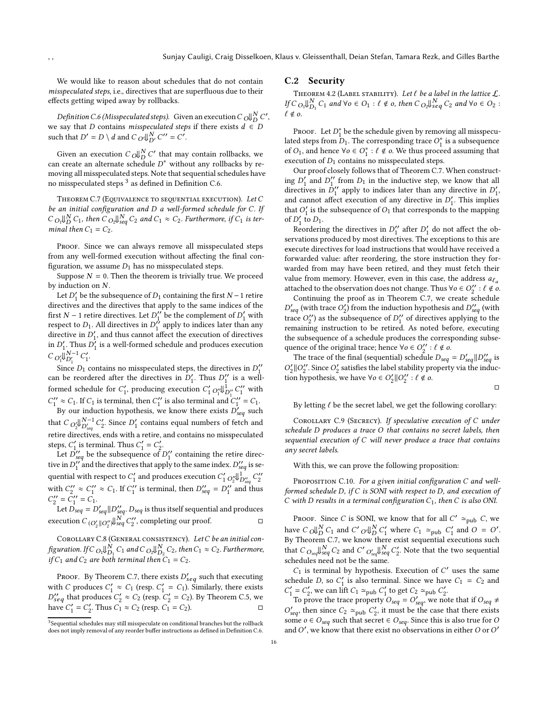We would like to reason about schedules that do not contain misspeculated steps, i.e., directives that are superfluous due to their effects getting wiped away by rollbacks.

<span id="page-15-1"></span>Definition C.6 (Misspeculated steps). Given an execution C  $\cup_{D}^{\mathsf{U}} C',$ we say that D contains misspeculated steps if there exists  $d \in D$ such that  $D' = D \setminus d$  and  $C_O \Downarrow_{D'}^N C'' = C'.$ 

Given an execution  $C_0 \bigcup_{D}^{N} C'$  that may contain rollbacks, we can create an alternate schedule  $D^*$  without any rollbacks by removing all misspeculated steps. Note that sequential schedules have no misspeculated steps<sup>[3](#page-15-0)</sup> as defined in Definition [C.6.](#page-15-1)

<span id="page-15-2"></span>THEOREM C.7 (EQUIVALENCE TO SEQUENTIAL EXECUTION). Let C be an initial configuration and D a well-formed schedule for C. If  $C_{O_1}\bigcup_{D}^{N}C_1$ , then  $C_{O_2}\bigcup_{seq}^{N}C_2$  and  $C_1 \approx C_2$ . Furthermore, if  $C_1$  is terminal then  $C_1 = C_2$ .

PROOF. Since we can always remove all misspeculated steps from any well-formed execution without affecting the final configuration, we assume  $D_1$  has no misspeculated steps.

Suppose  $N = 0$ . Then the theorem is trivially true. We proceed by induction on N.

Let  $D'_1$  be the subsequence of  $D_1$  containing the first  $N-1$  retire directives and the directives that apply to the same indices of the first  $N-1$  retire directives. Let  $D_1^{\prime\prime}$  be the complement of  $D_1^{\prime}$  with respect to  $D_1$ . All directives in  $D_1^{\prime\prime}$  apply to indices later than any directive in  $D'_1$ , and thus cannot affect the execution of directives in  $D'_1$ . Thus  $D'_1$  is a well-formed schedule and produces execution  $C_{O_1'}\bar{\mathcal{V}}_{D_1'}^{N-1}C_1'.$ 

Since  $D_1$  contains no misspeculated steps, the directives in  $D_1''$ can be reordered after the directives in  $D'_1$ . Thus  $D''_1$  is a wellformed schedule for  $C'_1$ , producing execution  $C'_1 O''_1 \psi_{D''_1}^{\parallel} C''_1$  with  $C''_1 \approx C_1$ . If  $C_1$  is terminal, then  $C''_1$  is also terminal and  $C''_1 = C_1$ .

By our induction hypothesis, we know there exists  $D_{seq}^{'}$  such that  $C_{Q'_2} \big\Downarrow_{D'_{seq}}^{N-1} C'_2$ . Since  $D'_1$  contains equal numbers of fetch and retire directives, ends with a retire, and contains no misspeculated steps,  $C'_1$  is terminal. Thus  $C'_1 = C'_2$ .

Let  $D_{seq}^{\prime\prime}$  be the subsequence of  $D_1^{\prime\prime}$  containing the retire directive in  $D''_1$  and the directives that apply to the same index.  $D''_{seq}$  is sequential with respect to  $C_1'$  and produces execution  $C_1'$   $_{O_2''}$ U $_{O_{seq}''}^{J_1}$   $C_2''$ with  $C_2'' \approx C_1'' \approx C_1$ . If  $C_1''$  is terminal, then  $D_{\text{seq}}'' = D_1''$  and thus  $C_2'' = \tilde{C}_1'' = \tilde{C}_1.$ 

Let  $\vec{D}_{seq} = D'_{seq} || D''_{seq} \cdot D_{seq}$  is thus itself sequential and produces<br>ecution  $C_{(O'_n||O'']} ||_{seq}^N C''_2$ , completing our proof. execution  $C_{(O_2'||O_2'')}\mathcal{V}_{seq}^N$   $C_2'$ 

COROLLARY C.8 (GENERAL CONSISTENCY). Let C be an initial configuration. If C  ${}_{O_1}\!\!\!\downarrow_{D_1}^N$  C  $_1$  and C  ${}_{O_2}\!\!\!\downarrow_{D_2}^N$  C  $_2$  , then C  $_1 \approx$  C  $_2$  . Furthermore, if  $C_1$  and  $C_2$  are both terminal then  $C_1 = C_2$ .

PROOF. By Theorem [C.7,](#page-15-2) there exists  $D'_{seq}$  such that executing with C produces  $C'_1 \approx C_1$  (resp.  $C'_1 = C_1$ ). Similarly, there exists  $D''_{seq}$  that produces  $C'_2 \approx C_2$  (resp.  $C'_2 = C_2$ ). By Theorem [C.5,](#page-14-2) we have  $C'_1 = C'_2$ . Thus  $C_1 \approx C_2$  (resp.  $C_1 = C_2$ ).

#### C.2 Security

THEOREM 4.2 (LABEL STABILITY). Let  $\ell$  be a label in the lattice  $\mathcal{L}$ . If  $C_{O_1}\big\downarrow_{D_1}^N C_1$  and  $\forall o \in O_1 : \ell \notin o$ , then  $C_{O_2}\big\downarrow_{seq}^N C_2$  and  $\forall o \in O_2 :$  $\ell \notin o$ .

Proof. Let  $D_1^*$  be the schedule given by removing all misspeculated steps from  $D_1$ . The corresponding trace  $O_1^*$  is a subsequence of  $O_1$ , and hence  $\forall o \in O_1^* : \ell \notin o$ . We thus proceed assuming that execution of  $D_1$  contains no misspeculated steps.

Our proof closely follows that of Theorem [C.7.](#page-15-2) When constructing  $D'_1$  and  $D''_1$  from  $D_1$  in the inductive step, we know that all directives in  $D_1''$  apply to indices later than any directive in  $D_1'$ , and cannot affect execution of any directive in  $D'_1$ . This implies that  $O'_1$  is the subsequence of  $O_1$  that corresponds to the mapping of  $D'_1$  to  $D_1$ .

Reordering the directives in  $D_1''$  after  $D_1'$  do not affect the observations produced by most directives. The exceptions to this are execute directives for load instructions that would have received a forwarded value: after reordering, the store instruction they forwarded from may have been retired, and they must fetch their value from memory. However, even in this case, the address  $a_{\ell_a}$ attached to the observation does not change. Thus  $\forall o \in O_2'' : \ell \notin o$ .

Continuing the proof as in Theorem [C.7,](#page-15-2) we create schedule  $D'_{seq}$  (with trace  $O'_2$ ) from the induction hypothesis and  $D''_{seq}$  (with trace  $O_2^{\prime\prime}$ ) as the subsequence of  $D_1^{\prime\prime}$  of directives applying to the remaining instruction to be retired. As noted before, executing the subsequence of a schedule produces the corresponding subsequence of the original trace; hence  $\forall o \in O_2'' : \ell \notin o$ .

The trace of the final (sequential) schedule  $D_{seq} = D'_{seq} || D''_{seq}$  is  $O_2'||O_2''$ . Since  $O_2'$  satisfies the label stability property via the induction hypothesis, we have  $\forall o \in O_2'||O_2'' : l \notin o$ .

 $\Box$ 

<span id="page-15-3"></span>By letting  $\ell$  be the secret label, we get the following corollary:

Corollary C.9 (Secrecy). If speculative execution of C under schedule D produces a trace O that contains no secret labels, then sequential execution of C will never produce a trace that contains any secret labels.

With this, we can prove the following proposition:

PROPOSITION C.10. For a given initial configuration C and wellformed schedule D, if C is SONI with respect to D, and execution of C with D results in a terminal configuration  $C_1$ , then C is also ONI.

PROOF. Since *C* is SONI, we know that for all  $C' \simeq_{\text{pub}} C$ , we have  $C_0 \bigcup_{D}^{N} C_1$  and  $C'_0 \bigcup_{D}^{N} C'_1$  where  $C_1 \simeq_{\text{pub}} C'_1$  and  $O = O'.$ By Theorem [C.7,](#page-15-2) we know there exist sequential executions such that  $C_{\textit{O}_{seq}}\mathbb{U}_{seq}^N\textit{C}_{2}$  and  $\textit{C'}_{\textit{O}'_{seq}}\mathbb{U}_{seq}^N\textit{C}'_{2}.$  Note that the two sequential schedules need not be the same.

 $C_1$  is terminal by hypothesis. Execution of  $C'$  uses the same schedule D, so  $C'_1$  is also terminal. Since we have  $C_1 = C_2$  and  $C'_1 = C'_2$ , we can lift  $C_1 \simeq_{\text{pub}} C'_1$  to get  $C_2 \simeq_{\text{pub}} C'_2$ .

To prove the trace property  $O_{seq} = O'_{seq}$ , we note that if  $O_{seq} \neq$  $O'_{seq}$ , then since  $C_2 \simeq_{pub} C'_2$ , it must be the case that there exists some  $o ∈ O_{seq}$  such that secret ∈  $O_{seq}$ . Since this is also true for O and  $O'$ , we know that there exist no observations in either  $O$  or  $O'$ 

<span id="page-15-0"></span><sup>&</sup>lt;sup>3</sup> Sequential schedules may still misspeculate on conditional branches but the rollback does not imply removal of any reorder buffer instructions as defined in Definition [C.6.](#page-15-1)